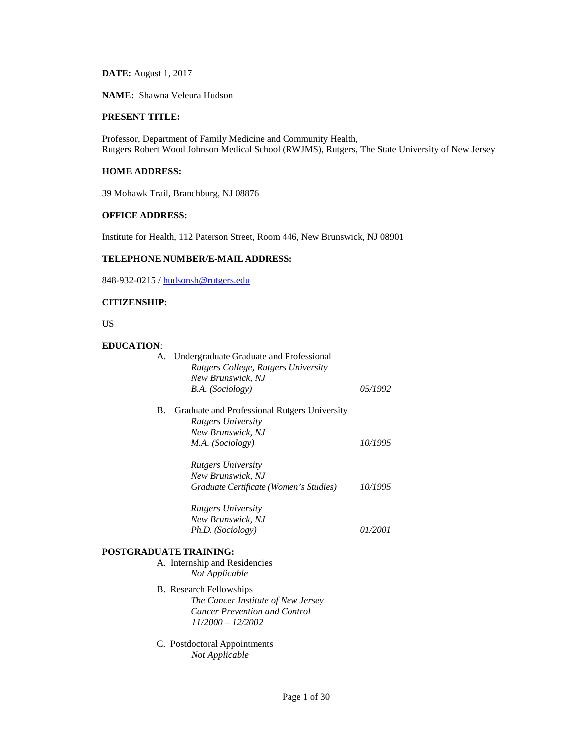**DATE:** August 1, 2017

**NAME:** Shawna Veleura Hudson

# **PRESENT TITLE:**

Professor, Department of Family Medicine and Community Health, Rutgers Robert Wood Johnson Medical School (RWJMS), Rutgers, The State University of New Jersey

# **HOME ADDRESS:**

39 Mohawk Trail, Branchburg, NJ 08876

## **OFFICE ADDRESS:**

Institute for Health, 112 Paterson Street, Room 446, New Brunswick, NJ 08901

# **TELEPHONE NUMBER/E-MAIL ADDRESS:**

848-932-0215 [/ hudsonsh@rutgers.edu](mailto:hudsonsh@rutgers.edu)

# **CITIZENSHIP:**

US

### **EDUCATION**:

| A. Undergraduate Graduate and Professional<br>Rutgers College, Rutgers University<br>New Brunswick, NJ<br>B.A. (Sociology) | 05/1992 |
|----------------------------------------------------------------------------------------------------------------------------|---------|
| Graduate and Professional Rutgers University<br>В.<br><b>Rutgers University</b>                                            |         |
| New Brunswick, NJ                                                                                                          |         |
| M.A. (Sociology)                                                                                                           | 10/1995 |
| <b>Rutgers University</b>                                                                                                  |         |
| New Brunswick, NJ                                                                                                          |         |
| Graduate Certificate (Women's Studies)                                                                                     | 10/1995 |
| <b>Rutgers University</b>                                                                                                  |         |
| New Brunswick, NJ                                                                                                          |         |
| Ph.D. (Sociology)                                                                                                          | 01/2001 |
| <b>POSTGRADUATE TRAINING:</b>                                                                                              |         |
| A. Internship and Residencies                                                                                              |         |
| Not Applicable                                                                                                             |         |
| B. Research Fellowships                                                                                                    |         |
| The Cancer Institute of New Jersey                                                                                         |         |
| <b>Cancer Prevention and Control</b>                                                                                       |         |
| $11/2000 - 12/2002$                                                                                                        |         |
|                                                                                                                            |         |

C. Postdoctoral Appointments *Not Applicable*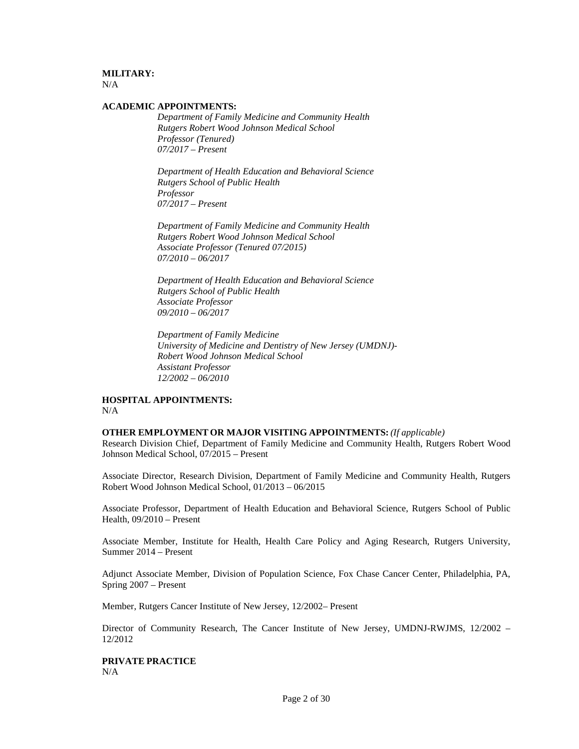# **MILITARY:**

 $N/A$ 

## **ACADEMIC APPOINTMENTS:**

*Department of Family Medicine and Community Health Rutgers Robert Wood Johnson Medical School Professor (Tenured) 07/2017 – Present*

*Department of Health Education and Behavioral Science Rutgers School of Public Health Professor 07/2017 – Present*

*Department of Family Medicine and Community Health Rutgers Robert Wood Johnson Medical School Associate Professor (Tenured 07/2015) 07/2010 – 06/2017*

*Department of Health Education and Behavioral Science Rutgers School of Public Health Associate Professor 09/2010 – 06/2017*

*Department of Family Medicine University of Medicine and Dentistry of New Jersey (UMDNJ)- Robert Wood Johnson Medical School Assistant Professor 12/2002 – 06/2010*

### **HOSPITAL APPOINTMENTS:** N/A

### **OTHER EMPLOYMENT OR MAJOR VISITING APPOINTMENTS:** *(If applicable)*

Research Division Chief, Department of Family Medicine and Community Health, Rutgers Robert Wood Johnson Medical School, 07/2015 – Present

Associate Director, Research Division, Department of Family Medicine and Community Health, Rutgers Robert Wood Johnson Medical School, 01/2013 – 06/2015

Associate Professor, Department of Health Education and Behavioral Science, Rutgers School of Public Health, 09/2010 – Present

Associate Member, Institute for Health, Health Care Policy and Aging Research, Rutgers University, Summer 2014 – Present

Adjunct Associate Member, Division of Population Science, Fox Chase Cancer Center, Philadelphia, PA, Spring 2007 – Present

Member, Rutgers Cancer Institute of New Jersey, 12/2002– Present

Director of Community Research, The Cancer Institute of New Jersey, UMDNJ-RWJMS, 12/2002 – 12/2012

**PRIVATE PRACTICE** N/A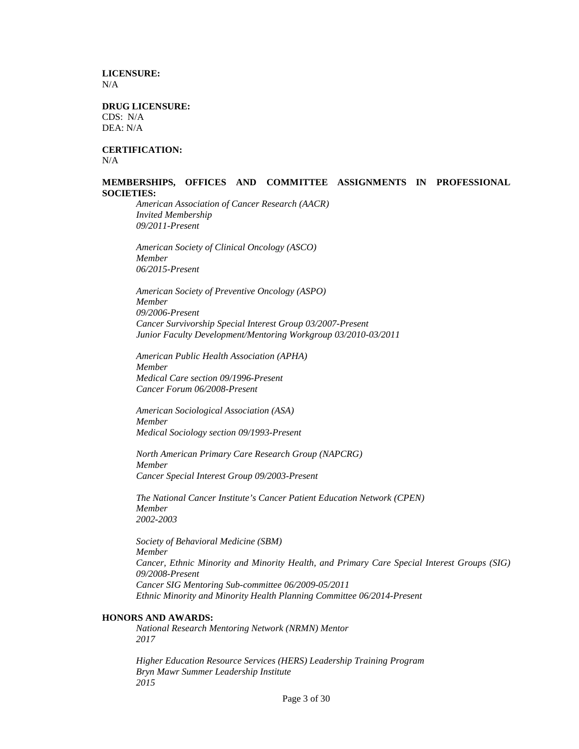**LICENSURE:**  $N/A$ 

**DRUG LICENSURE:**  CDS: N/A DEA: N/A

**CERTIFICATION:** N/A

### **MEMBERSHIPS, OFFICES AND COMMITTEE ASSIGNMENTS IN PROFESSIONAL SOCIETIES:**

*American Association of Cancer Research (AACR) Invited Membership 09/2011-Present*

*American Society of Clinical Oncology (ASCO) Member 06/2015-Present*

*American Society of Preventive Oncology (ASPO) Member 09/2006-Present Cancer Survivorship Special Interest Group 03/2007-Present Junior Faculty Development/Mentoring Workgroup 03/2010-03/2011*

*American Public Health Association (APHA) Member Medical Care section 09/1996-Present Cancer Forum 06/2008-Present*

*American Sociological Association (ASA) Member Medical Sociology section 09/1993-Present*

*North American Primary Care Research Group (NAPCRG) Member Cancer Special Interest Group 09/2003-Present*

*The National Cancer Institute's Cancer Patient Education Network (CPEN) Member 2002-2003*

*Society of Behavioral Medicine (SBM) Member Cancer, Ethnic Minority and Minority Health, and Primary Care Special Interest Groups (SIG) 09/2008-Present Cancer SIG Mentoring Sub-committee 06/2009-05/2011 Ethnic Minority and Minority Health Planning Committee 06/2014-Present*

### **HONORS AND AWARDS:**

*National Research Mentoring Network (NRMN) Mentor 2017*

*Higher Education Resource Services (HERS) Leadership Training Program Bryn Mawr Summer Leadership Institute 2015*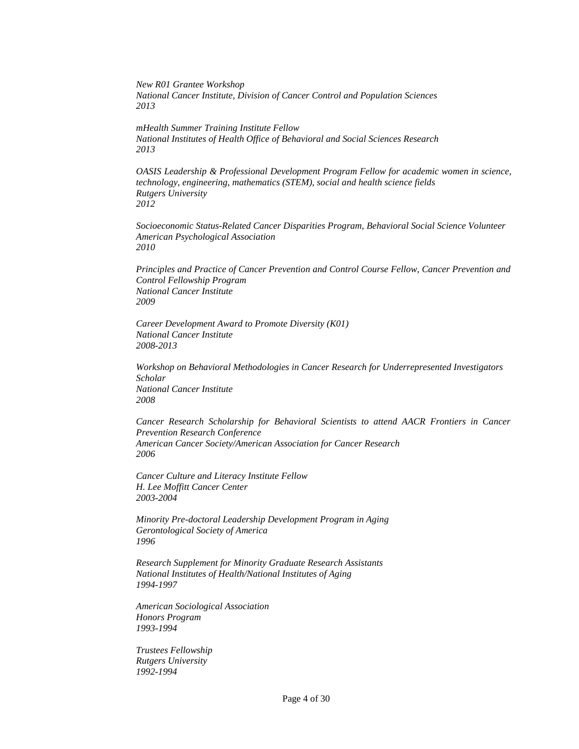*New R01 Grantee Workshop National Cancer Institute, Division of Cancer Control and Population Sciences 2013*

*mHealth Summer Training Institute Fellow National Institutes of Health Office of Behavioral and Social Sciences Research 2013*

*OASIS Leadership & Professional Development Program Fellow for academic women in science, technology, engineering, mathematics (STEM), social and health science fields Rutgers University 2012*

*Socioeconomic Status-Related Cancer Disparities Program, Behavioral Social Science Volunteer American Psychological Association 2010*

*Principles and Practice of Cancer Prevention and Control Course Fellow, Cancer Prevention and Control Fellowship Program National Cancer Institute 2009*

*Career Development Award to Promote Diversity (K01) National Cancer Institute 2008-2013*

*Workshop on Behavioral Methodologies in Cancer Research for Underrepresented Investigators Scholar National Cancer Institute 2008*

*Cancer Research Scholarship for Behavioral Scientists to attend AACR Frontiers in Cancer Prevention Research Conference American Cancer Society/American Association for Cancer Research 2006*

*Cancer Culture and Literacy Institute Fellow H. Lee Moffitt Cancer Center 2003-2004*

*Minority Pre-doctoral Leadership Development Program in Aging Gerontological Society of America 1996*

*Research Supplement for Minority Graduate Research Assistants National Institutes of Health/National Institutes of Aging 1994-1997*

*American Sociological Association Honors Program 1993-1994*

*Trustees Fellowship Rutgers University 1992-1994*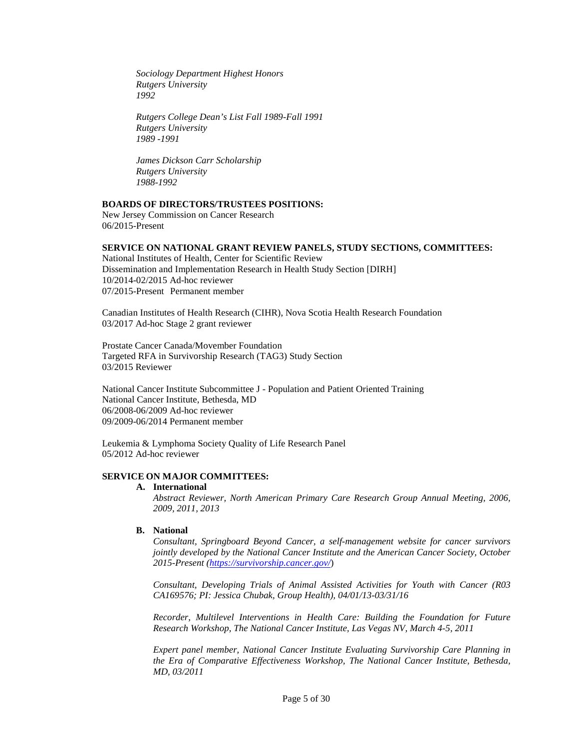*Sociology Department Highest Honors Rutgers University 1992*

*Rutgers College Dean's List Fall 1989-Fall 1991 Rutgers University 1989 -1991*

*James Dickson Carr Scholarship Rutgers University 1988-1992*

### **BOARDS OF DIRECTORS/TRUSTEES POSITIONS:**

New Jersey Commission on Cancer Research 06/2015-Present

### **SERVICE ON NATIONAL GRANT REVIEW PANELS, STUDY SECTIONS, COMMITTEES:**

National Institutes of Health, Center for Scientific Review Dissemination and Implementation Research in Health Study Section [DIRH] 10/2014-02/2015 Ad-hoc reviewer 07/2015-Present Permanent member

Canadian Institutes of Health Research (CIHR), Nova Scotia Health Research Foundation 03/2017 Ad-hoc Stage 2 grant reviewer

Prostate Cancer Canada/Movember Foundation Targeted RFA in Survivorship Research (TAG3) Study Section 03/2015 Reviewer

National Cancer Institute Subcommittee J - Population and Patient Oriented Training National Cancer Institute, Bethesda, MD 06/2008-06/2009 Ad-hoc reviewer 09/2009-06/2014 Permanent member

Leukemia & Lymphoma Society Quality of Life Research Panel 05/2012 Ad-hoc reviewer

### **SERVICE ON MAJOR COMMITTEES:**

#### **A. International**

*Abstract Reviewer, North American Primary Care Research Group Annual Meeting, 2006, 2009, 2011, 2013*

## **B. National**

*Consultant, Springboard Beyond Cancer, a self-management website for cancer survivors jointly developed by the National Cancer Institute and the American Cancer Society, October 2015-Present [\(https://survivorship.cancer.gov/](https://survivorship.cancer.gov/)*)

*Consultant, Developing Trials of Animal Assisted Activities for Youth with Cancer (R03 CA169576; PI: Jessica Chubak, Group Health), 04/01/13-03/31/16* 

*Recorder, Multilevel Interventions in Health Care: Building the Foundation for Future Research Workshop, The National Cancer Institute, Las Vegas NV, March 4-5, 2011*

*Expert panel member, National Cancer Institute Evaluating Survivorship Care Planning in the Era of Comparative Effectiveness Workshop, The National Cancer Institute, Bethesda, MD, 03/2011*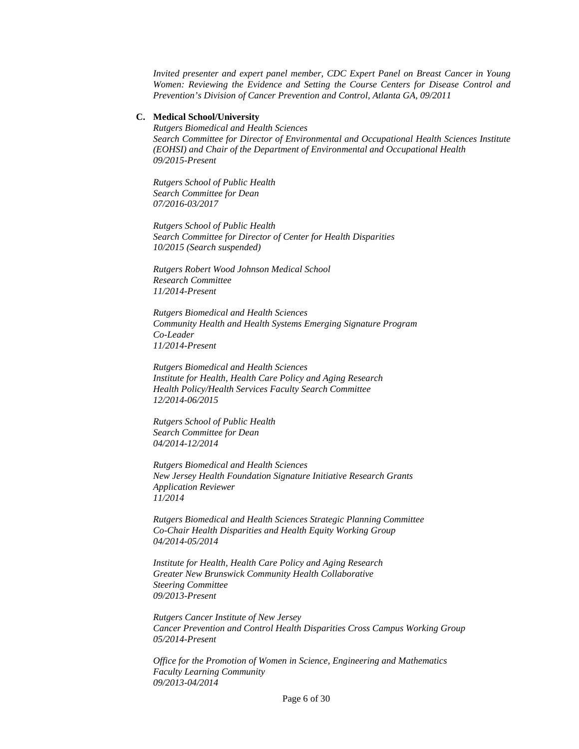*Invited presenter and expert panel member, CDC Expert Panel on Breast Cancer in Young Women: Reviewing the Evidence and Setting the Course Centers for Disease Control and Prevention's Division of Cancer Prevention and Control, Atlanta GA, 09/2011* 

### **C. Medical School/University**

*Rutgers Biomedical and Health Sciences Search Committee for Director of Environmental and Occupational Health Sciences Institute (EOHSI) and Chair of the Department of Environmental and Occupational Health 09/2015-Present*

*Rutgers School of Public Health Search Committee for Dean 07/2016-03/2017*

*Rutgers School of Public Health Search Committee for Director of Center for Health Disparities 10/2015 (Search suspended)*

*Rutgers Robert Wood Johnson Medical School Research Committee 11/2014-Present*

*Rutgers Biomedical and Health Sciences Community Health and Health Systems Emerging Signature Program Co-Leader 11/2014-Present*

*Rutgers Biomedical and Health Sciences Institute for Health, Health Care Policy and Aging Research Health Policy/Health Services Faculty Search Committee 12/2014-06/2015*

*Rutgers School of Public Health Search Committee for Dean 04/2014-12/2014*

*Rutgers Biomedical and Health Sciences New Jersey Health Foundation Signature Initiative Research Grants Application Reviewer 11/2014*

*Rutgers Biomedical and Health Sciences Strategic Planning Committee Co-Chair Health Disparities and Health Equity Working Group 04/2014-05/2014*

*Institute for Health, Health Care Policy and Aging Research Greater New Brunswick Community Health Collaborative Steering Committee 09/2013-Present*

*Rutgers Cancer Institute of New Jersey Cancer Prevention and Control Health Disparities Cross Campus Working Group 05/2014-Present*

*Office for the Promotion of Women in Science, Engineering and Mathematics Faculty Learning Community 09/2013-04/2014*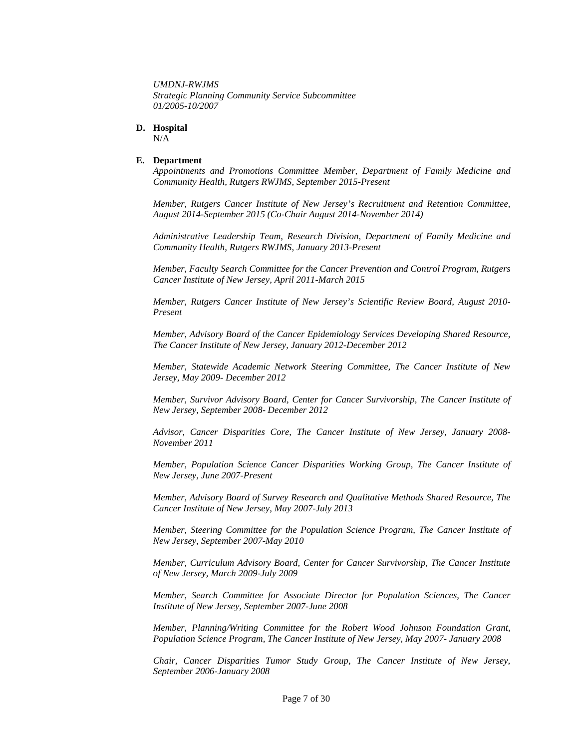*UMDNJ-RWJMS Strategic Planning Community Service Subcommittee 01/2005-10/2007*

### **D. Hospital**

N/A

### **E. Department**

*Appointments and Promotions Committee Member, Department of Family Medicine and Community Health, Rutgers RWJMS, September 2015-Present*

*Member, Rutgers Cancer Institute of New Jersey's Recruitment and Retention Committee, August 2014-September 2015 (Co-Chair August 2014-November 2014)*

*Administrative Leadership Team, Research Division, Department of Family Medicine and Community Health, Rutgers RWJMS, January 2013-Present*

*Member, Faculty Search Committee for the Cancer Prevention and Control Program, Rutgers Cancer Institute of New Jersey, April 2011-March 2015*

*Member, Rutgers Cancer Institute of New Jersey's Scientific Review Board, August 2010- Present*

*Member, Advisory Board of the Cancer Epidemiology Services Developing Shared Resource, The Cancer Institute of New Jersey, January 2012-December 2012*

*Member, Statewide Academic Network Steering Committee, The Cancer Institute of New Jersey, May 2009- December 2012*

*Member, Survivor Advisory Board, Center for Cancer Survivorship, The Cancer Institute of New Jersey, September 2008- December 2012*

*Advisor, Cancer Disparities Core, The Cancer Institute of New Jersey, January 2008- November 2011*

*Member, Population Science Cancer Disparities Working Group, The Cancer Institute of New Jersey, June 2007-Present*

*Member, Advisory Board of Survey Research and Qualitative Methods Shared Resource, The Cancer Institute of New Jersey, May 2007-July 2013*

*Member, Steering Committee for the Population Science Program, The Cancer Institute of New Jersey, September 2007-May 2010*

*Member, Curriculum Advisory Board, Center for Cancer Survivorship, The Cancer Institute of New Jersey, March 2009-July 2009*

*Member, Search Committee for Associate Director for Population Sciences, The Cancer Institute of New Jersey, September 2007-June 2008*

*Member, Planning/Writing Committee for the Robert Wood Johnson Foundation Grant, Population Science Program, The Cancer Institute of New Jersey, May 2007- January 2008*

*Chair, Cancer Disparities Tumor Study Group, The Cancer Institute of New Jersey, September 2006-January 2008*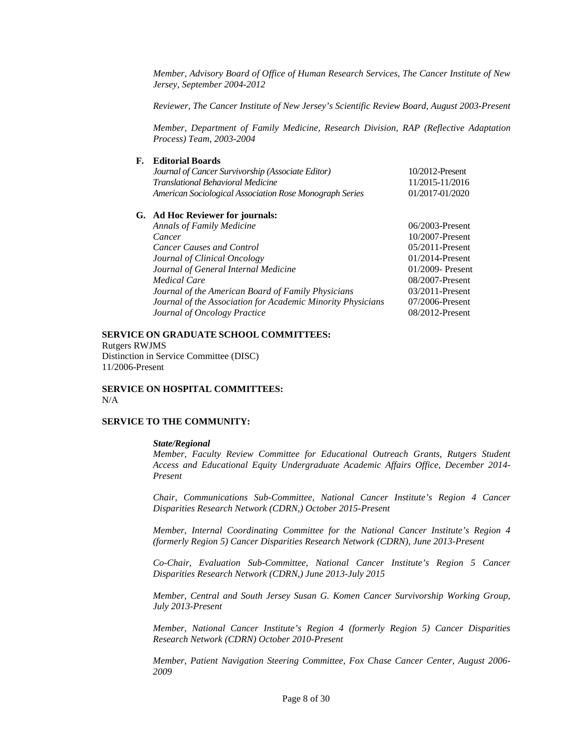*Member, Advisory Board of Office of Human Research Services, The Cancer Institute of New Jersey, September 2004-2012*

*Reviewer, The Cancer Institute of New Jersey's Scientific Review Board, August 2003-Present*

*Member, Department of Family Medicine, Research Division, RAP (Reflective Adaptation Process) Team, 2003-2004*

# **F. Editorial Boards**

| Journal of Cancer Survivorship (Associate Editor)       | 10/2012-Present                  |
|---------------------------------------------------------|----------------------------------|
| <b>Translational Behavioral Medicine</b>                | 11/2015-11/2016                  |
| American Sociological Association Rose Monograph Series | 01/2017-01/2020                  |
|                                                         |                                  |
| <b>Annals of Family Medicine</b>                        | $06/2003$ -Present               |
| Cancer                                                  | $10/2007$ -Present               |
| <b>Cancer Causes and Control</b>                        | $05/2011$ -Present               |
| Journal of Clinical Oncology                            | $01/2014$ -Present               |
| Journal of General Internal Medicine                    | 01/2009- Present                 |
| Medical Care                                            | $08/2007$ -Present               |
|                                                         | G. Ad Hoc Reviewer for journals: |

*Journal of the American Board of Family Physicians* 03/2011-Present *Journal of the Association for Academic Minority Physicians* 07/2006-Present<br>*Journal of Oncology Practice* 08/2012-Present **Journal of Oncology Practice** 

# **SERVICE ON GRADUATE SCHOOL COMMITTEES:**

Rutgers RWJMS Distinction in Service Committee (DISC) 11/2006-Present

## **SERVICE ON HOSPITAL COMMITTEES:** N/A

#### **SERVICE TO THE COMMUNITY:**

#### *State/Regional*

*Member, Faculty Review Committee for Educational Outreach Grants, Rutgers Student Access and Educational Equity Undergraduate Academic Affairs Office, December 2014- Present* 

*Chair, Communications Sub-Committee, National Cancer Institute's Region 4 Cancer Disparities Research Network (CDRN,) October 2015-Present*

*Member, Internal Coordinating Committee for the National Cancer Institute's Region 4 (formerly Region 5) Cancer Disparities Research Network (CDRN), June 2013-Present*

*Co-Chair, Evaluation Sub-Committee, National Cancer Institute's Region 5 Cancer Disparities Research Network (CDRN,) June 2013-July 2015*

*Member, Central and South Jersey Susan G. Komen Cancer Survivorship Working Group, July 2013-Present*

*Member, National Cancer Institute's Region 4 (formerly Region 5) Cancer Disparities Research Network (CDRN) October 2010-Present*

*Member, Patient Navigation Steering Committee, Fox Chase Cancer Center, August 2006- 2009*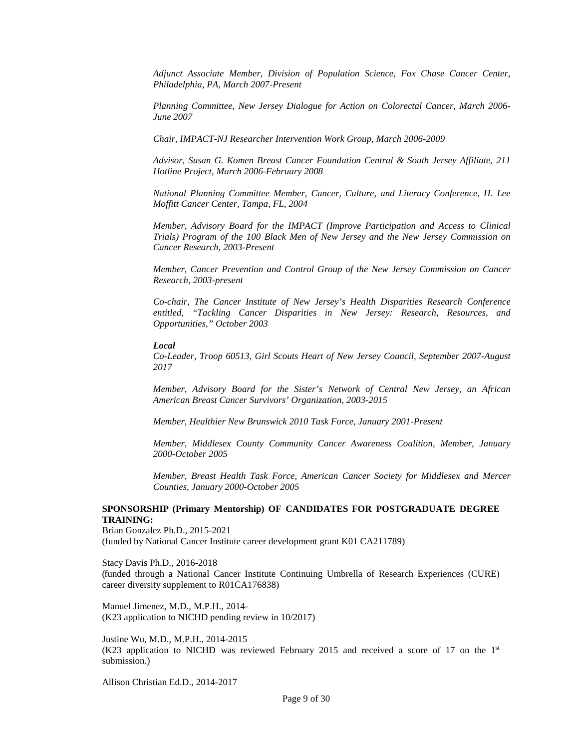*Adjunct Associate Member, Division of Population Science, Fox Chase Cancer Center, Philadelphia, PA, March 2007-Present*

*Planning Committee, New Jersey Dialogue for Action on Colorectal Cancer, March 2006- June 2007*

*Chair, IMPACT-NJ Researcher Intervention Work Group, March 2006-2009*

*Advisor, Susan G. Komen Breast Cancer Foundation Central & South Jersey Affiliate, 211 Hotline Project, March 2006-February 2008*

*National Planning Committee Member, Cancer, Culture, and Literacy Conference, H. Lee Moffitt Cancer Center, Tampa, FL, 2004*

*Member, Advisory Board for the IMPACT (Improve Participation and Access to Clinical Trials) Program of the 100 Black Men of New Jersey and the New Jersey Commission on Cancer Research, 2003-Present*

*Member, Cancer Prevention and Control Group of the New Jersey Commission on Cancer Research, 2003-present* 

*Co-chair, The Cancer Institute of New Jersey's Health Disparities Research Conference entitled, "Tackling Cancer Disparities in New Jersey: Research, Resources, and Opportunities," October 2003*

*Local*

*Co-Leader, Troop 60513, Girl Scouts Heart of New Jersey Council, September 2007-August 2017*

*Member, Advisory Board for the Sister's Network of Central New Jersey, an African American Breast Cancer Survivors' Organization, 2003-2015*

*Member, Healthier New Brunswick 2010 Task Force, January 2001-Present*

*Member, Middlesex County Community Cancer Awareness Coalition, Member, January 2000-October 2005*

*Member, Breast Health Task Force, American Cancer Society for Middlesex and Mercer Counties, January 2000-October 2005*

## **SPONSORSHIP (Primary Mentorship) OF CANDIDATES FOR POSTGRADUATE DEGREE TRAINING:**

Brian Gonzalez Ph.D., 2015-2021 (funded by National Cancer Institute career development grant K01 CA211789)

Stacy Davis Ph.D., 2016-2018 (funded through a National Cancer Institute Continuing Umbrella of Research Experiences (CURE) career diversity supplement to R01CA176838)

Manuel Jimenez, M.D., M.P.H., 2014- (K23 application to NICHD pending review in 10/2017)

Justine Wu, M.D., M.P.H., 2014-2015 (K23 application to NICHD was reviewed February 2015 and received a score of 17 on the  $1<sup>st</sup>$ submission.)

Allison Christian Ed.D., 2014-2017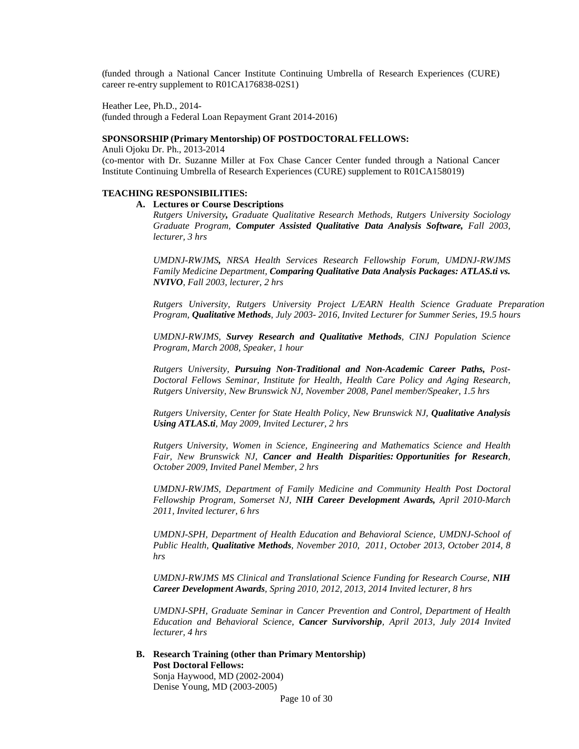(funded through a National Cancer Institute Continuing Umbrella of Research Experiences (CURE) career re-entry supplement to R01CA176838-02S1)

Heather Lee, Ph.D., 2014-

(funded through a Federal Loan Repayment Grant 2014-2016)

### **SPONSORSHIP (Primary Mentorship) OF POSTDOCTORALFELLOWS:**

Anuli Ojoku Dr. Ph., 2013-2014 (co-mentor with Dr. Suzanne Miller at Fox Chase Cancer Center funded through a National Cancer Institute Continuing Umbrella of Research Experiences (CURE) supplement to R01CA158019)

## **TEACHING RESPONSIBILITIES:**

### **A. Lectures or Course Descriptions**

*Rutgers University, Graduate Qualitative Research Methods, Rutgers University Sociology Graduate Program, Computer Assisted Qualitative Data Analysis Software, Fall 2003, lecturer, 3 hrs*

*UMDNJ-RWJMS, NRSA Health Services Research Fellowship Forum, UMDNJ-RWJMS Family Medicine Department, Comparing Qualitative Data Analysis Packages: ATLAS.ti vs. NVIVO, Fall 2003, lecturer, 2 hrs*

*Rutgers University, Rutgers University Project L/EARN Health Science Graduate Preparation Program, Qualitative Methods, July 2003- 2016, Invited Lecturer for Summer Series, 19.5 hours*

*UMDNJ-RWJMS, Survey Research and Qualitative Methods, CINJ Population Science Program, March 2008, Speaker, 1 hour*

*Rutgers University, Pursuing Non-Traditional and Non-Academic Career Paths, Post-Doctoral Fellows Seminar, Institute for Health, Health Care Policy and Aging Research, Rutgers University, New Brunswick NJ, November 2008, Panel member/Speaker, 1.5 hrs*

*Rutgers University, Center for State Health Policy, New Brunswick NJ, Qualitative Analysis Using ATLAS.ti, May 2009, Invited Lecturer, 2 hrs*

*Rutgers University, Women in Science, Engineering and Mathematics Science and Health Fair, New Brunswick NJ, Cancer and Health Disparities: Opportunities for Research, October 2009, Invited Panel Member, 2 hrs*

*UMDNJ-RWJMS, Department of Family Medicine and Community Health Post Doctoral Fellowship Program, Somerset NJ, NIH Career Development Awards, April 2010-March 2011, Invited lecturer, 6 hrs*

*UMDNJ-SPH, Department of Health Education and Behavioral Science, UMDNJ-School of Public Health, Qualitative Methods, November 2010, 2011, October 2013, October 2014, 8 hrs*

*UMDNJ-RWJMS MS Clinical and Translational Science Funding for Research Course, NIH Career Development Awards, Spring 2010, 2012, 2013, 2014 Invited lecturer, 8 hrs*

*UMDNJ-SPH, Graduate Seminar in Cancer Prevention and Control, Department of Health Education and Behavioral Science, Cancer Survivorship, April 2013, July 2014 Invited lecturer, 4 hrs*

**B. Research Training (other than Primary Mentorship) Post Doctoral Fellows:**

Sonja Haywood, MD (2002-2004) Denise Young, MD (2003-2005)

Page 10 of 30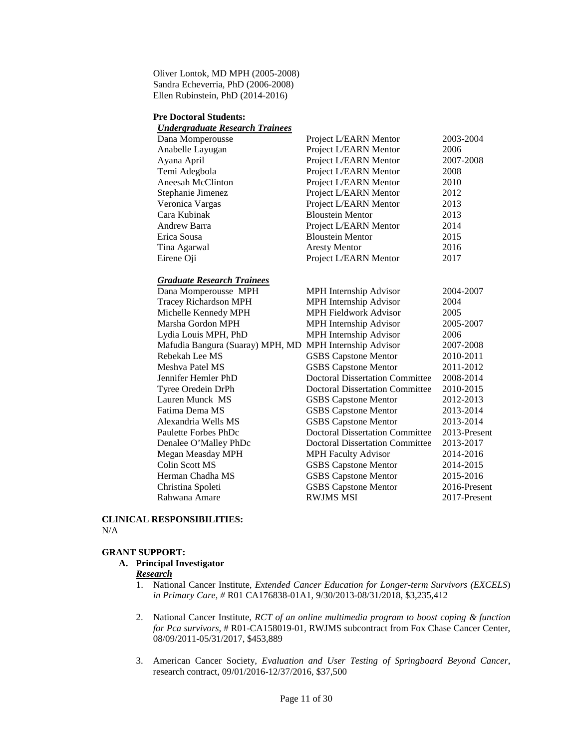Oliver Lontok, MD MPH (2005-2008) Sandra Echeverria, PhD (2006-2008) Ellen Rubinstein, PhD (2014-2016)

#### **Pre Doctoral Students:**

| <b>Undergraduate Research Trainees</b> |                                        |              |
|----------------------------------------|----------------------------------------|--------------|
| Dana Momperousse                       | Project L/EARN Mentor                  | 2003-2004    |
| Anabelle Layugan                       | Project L/EARN Mentor                  | 2006         |
| Ayana April                            | Project L/EARN Mentor                  | 2007-2008    |
| Temi Adegbola                          | Project L/EARN Mentor                  | 2008         |
| Aneesah McClinton                      | Project L/EARN Mentor                  | 2010         |
| Stephanie Jimenez                      | Project L/EARN Mentor                  | 2012         |
| Veronica Vargas                        | Project L/EARN Mentor                  | 2013         |
| Cara Kubinak                           | <b>Bloustein Mentor</b>                | 2013         |
| Andrew Barra                           | Project L/EARN Mentor                  | 2014         |
| Erica Sousa                            | <b>Bloustein Mentor</b>                | 2015         |
| Tina Agarwal                           | <b>Aresty Mentor</b>                   | 2016         |
| Eirene Oji                             | Project L/EARN Mentor                  | 2017         |
| <b>Graduate Research Trainees</b>      |                                        |              |
| Dana Momperousse MPH                   | MPH Internship Advisor                 | 2004-2007    |
| <b>Tracey Richardson MPH</b>           | MPH Internship Advisor                 | 2004         |
| Michelle Kennedy MPH                   | <b>MPH Fieldwork Advisor</b>           | 2005         |
| Marsha Gordon MPH                      | MPH Internship Advisor                 | 2005-2007    |
| Lydia Louis MPH, PhD                   | MPH Internship Advisor                 | 2006         |
| Mafudia Bangura (Suaray) MPH, MD       | MPH Internship Advisor                 | 2007-2008    |
| Rebekah Lee MS                         | <b>GSBS Capstone Mentor</b>            | 2010-2011    |
| Meshya Patel MS                        | <b>GSBS Capstone Mentor</b>            | 2011-2012    |
| Jennifer Hemler PhD                    | <b>Doctoral Dissertation Committee</b> | 2008-2014    |
| Tyree Oredein DrPh                     | <b>Doctoral Dissertation Committee</b> | 2010-2015    |
| Lauren Munck MS                        | <b>GSBS Capstone Mentor</b>            | 2012-2013    |
| Fatima Dema MS                         | <b>GSBS</b> Capstone Mentor            | 2013-2014    |
| Alexandria Wells MS                    | <b>GSBS Capstone Mentor</b>            | 2013-2014    |
| <b>Paulette Forbes PhDc</b>            | <b>Doctoral Dissertation Committee</b> | 2013-Present |
| Denalee O'Malley PhDc                  | <b>Doctoral Dissertation Committee</b> | 2013-2017    |
| Megan Measday MPH                      | <b>MPH Faculty Advisor</b>             | 2014-2016    |
| Colin Scott MS                         | <b>GSBS Capstone Mentor</b>            | 2014-2015    |
| Herman Chadha MS                       | <b>GSBS Capstone Mentor</b>            | 2015-2016    |

### **CLINICAL RESPONSIBILITIES:** N/A

#### **GRANT SUPPORT:**

### **A. Principal Investigator**

## *Research*

1. National Cancer Institute, *Extended Cancer Education for Longer-term Survivors (EXCELS*) *in Primary Care, #* R01 CA176838-01A1, 9/30/2013-08/31/2018, \$3,235,412

Christina Spoleti GSBS Capstone Mentor 2016-Present Rahwana Amare RWJMS MSI 2017-Present

- 2. National Cancer Institute, *RCT of an online multimedia program to boost coping & function for Pca survivors*, # R01-CA158019-01, RWJMS subcontract from Fox Chase Cancer Center, 08/09/2011-05/31/2017, \$453,889
- 3. American Cancer Society, *Evaluation and User Testing of Springboard Beyond Cancer*, research contract, 09/01/2016-12/37/2016, \$37,500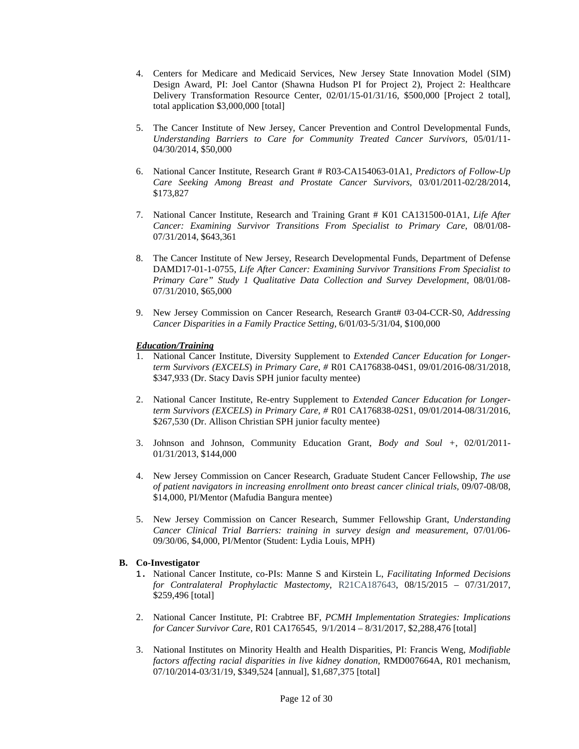- 4. Centers for Medicare and Medicaid Services, New Jersey State Innovation Model (SIM) Design Award, PI: Joel Cantor (Shawna Hudson PI for Project 2), Project 2: Healthcare Delivery Transformation Resource Center, 02/01/15-01/31/16, \$500,000 [Project 2 total], total application \$3,000,000 [total]
- 5. The Cancer Institute of New Jersey, Cancer Prevention and Control Developmental Funds, *Understanding Barriers to Care for Community Treated Cancer Survivors,* 05/01/11- 04/30/2014, \$50,000
- 6. National Cancer Institute, Research Grant # R03-CA154063-01A1, *Predictors of Follow-Up Care Seeking Among Breast and Prostate Cancer Survivors*, 03/01/2011-02/28/2014, \$173,827
- 7. National Cancer Institute, Research and Training Grant # K01 CA131500-01A1, *Life After Cancer: Examining Survivor Transitions From Specialist to Primary Care*, 08/01/08- 07/31/2014, \$643,361
- 8. The Cancer Institute of New Jersey, Research Developmental Funds, Department of Defense DAMD17-01-1-0755, *Life After Cancer: Examining Survivor Transitions From Specialist to Primary Care" Study 1 Qualitative Data Collection and Survey Development*, 08/01/08- 07/31/2010, \$65,000
- 9. New Jersey Commission on Cancer Research, Research Grant# 03-04-CCR-S0, *Addressing Cancer Disparities in a Family Practice Setting*, 6/01/03-5/31/04, \$100,000

## *Education/Training*

- 1. National Cancer Institute, Diversity Supplement to *Extended Cancer Education for Longerterm Survivors (EXCELS*) *in Primary Care, #* R01 CA176838-04S1, 09/01/2016-08/31/2018, \$347,933 (Dr. Stacy Davis SPH junior faculty mentee)
- 2. National Cancer Institute, Re-entry Supplement to *Extended Cancer Education for Longerterm Survivors (EXCELS*) *in Primary Care, #* R01 CA176838-02S1, 09/01/2014-08/31/2016, \$267,530 (Dr. Allison Christian SPH junior faculty mentee)
- 3. Johnson and Johnson, Community Education Grant, *Body and Soul +*, 02/01/2011- 01/31/2013, \$144,000
- 4. New Jersey Commission on Cancer Research, Graduate Student Cancer Fellowship, *The use of patient navigators in increasing enrollment onto breast cancer clinical trials,* 09/07-08/08, \$14,000, PI/Mentor (Mafudia Bangura mentee)
- 5. New Jersey Commission on Cancer Research, Summer Fellowship Grant, *Understanding Cancer Clinical Trial Barriers: training in survey design and measurement*, 07/01/06- 09/30/06, \$4,000, PI/Mentor (Student: Lydia Louis, MPH)

# **B. Co-Investigator**

- 1. National Cancer Institute, co-PIs: Manne S and Kirstein L, *Facilitating Informed Decisions for Contralateral Prophylactic Mastectomy*, R21CA187643, 08/15/2015 – 07/31/2017, \$259,496 [total]
- 2. National Cancer Institute, PI: Crabtree BF, *PCMH Implementation Strategies: Implications for Cancer Survivor Care*, R01 CA176545, 9/1/2014 – 8/31/2017, \$2,288,476 [total]
- 3. National Institutes on Minority Health and Health Disparities, PI: Francis Weng, *Modifiable factors affecting racial disparities in live kidney donation, RMD007664A, R01 mechanism,* 07/10/2014-03/31/19, \$349,524 [annual], \$1,687,375 [total]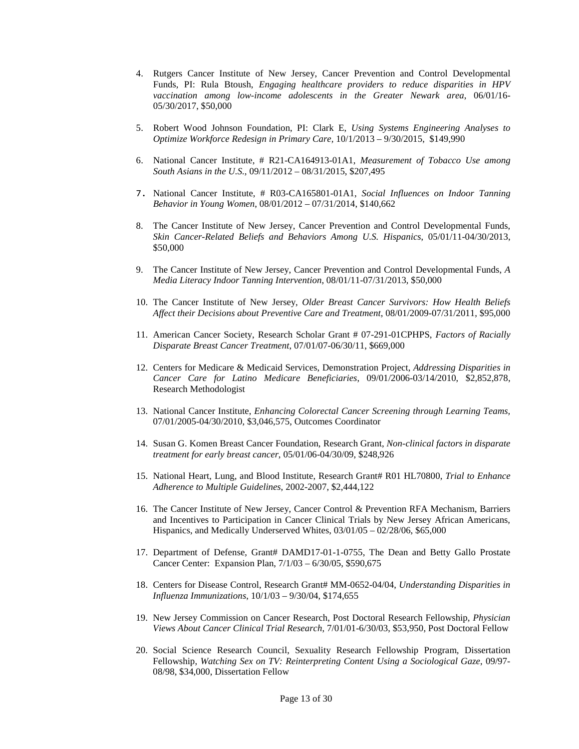- 4. Rutgers Cancer Institute of New Jersey, Cancer Prevention and Control Developmental Funds, PI: Rula Btoush, *Engaging healthcare providers to reduce disparities in HPV vaccination among low-income adolescents in the Greater Newark area*, 06/01/16- 05/30/2017, \$50,000
- 5. Robert Wood Johnson Foundation, PI: Clark E, *Using Systems Engineering Analyses to Optimize Workforce Redesign in Primary Care,* 10/1/2013 – 9/30/2015, \$149,990
- 6. National Cancer Institute, # R21-CA164913-01A1, *Measurement of Tobacco Use among South Asians in the U.S.*, 09/11/2012 – 08/31/2015, \$207,495
- 7. National Cancer Institute, # R03-CA165801-01A1, *Social Influences on Indoor Tanning Behavior in Young Women*, 08/01/2012 – 07/31/2014, \$140,662
- 8. The Cancer Institute of New Jersey, Cancer Prevention and Control Developmental Funds, *Skin Cancer-Related Beliefs and Behaviors Among U.S. Hispanics*, 05/01/11-04/30/2013, \$50,000
- 9. The Cancer Institute of New Jersey, Cancer Prevention and Control Developmental Funds, *A Media Literacy Indoor Tanning Intervention*, 08/01/11-07/31/2013, \$50,000
- 10. The Cancer Institute of New Jersey, *Older Breast Cancer Survivors: How Health Beliefs Affect their Decisions about Preventive Care and Treatment*, 08/01/2009-07/31/2011, \$95,000
- 11. American Cancer Society, Research Scholar Grant # 07-291-01CPHPS, *Factors of Racially Disparate Breast Cancer Treatment*, 07/01/07-06/30/11, \$669,000
- 12. Centers for Medicare & Medicaid Services, Demonstration Project, *Addressing Disparities in Cancer Care for Latino Medicare Beneficiaries*, 09/01/2006-03/14/2010, \$2,852,878, Research Methodologist
- 13. National Cancer Institute, *Enhancing Colorectal Cancer Screening through Learning Teams,* 07/01/2005-04/30/2010, \$3,046,575, Outcomes Coordinator
- 14. Susan G. Komen Breast Cancer Foundation, Research Grant, *Non-clinical factors in disparate treatment for early breast cancer*, 05/01/06-04/30/09, \$248,926
- 15. National Heart, Lung, and Blood Institute, Research Grant# R01 HL70800, *Trial to Enhance Adherence to Multiple Guidelines*, 2002-2007, \$2,444,122
- 16. The Cancer Institute of New Jersey, Cancer Control & Prevention RFA Mechanism, Barriers and Incentives to Participation in Cancer Clinical Trials by New Jersey African Americans, Hispanics, and Medically Underserved Whites, 03/01/05 – 02/28/06, \$65,000
- 17. Department of Defense, Grant# DAMD17-01-1-0755, The Dean and Betty Gallo Prostate Cancer Center: Expansion Plan, 7/1/03 – 6/30/05, \$590,675
- 18. Centers for Disease Control, Research Grant# MM-0652-04/04, *Understanding Disparities in Influenza Immunizations*, 10/1/03 – 9/30/04, \$174,655
- 19. New Jersey Commission on Cancer Research, Post Doctoral Research Fellowship, *Physician Views About Cancer Clinical Trial Research*, 7/01/01-6/30/03, \$53,950, Post Doctoral Fellow
- 20. Social Science Research Council, Sexuality Research Fellowship Program, Dissertation Fellowship, *Watching Sex on TV: Reinterpreting Content Using a Sociological Gaze*, 09/97- 08/98, \$34,000, Dissertation Fellow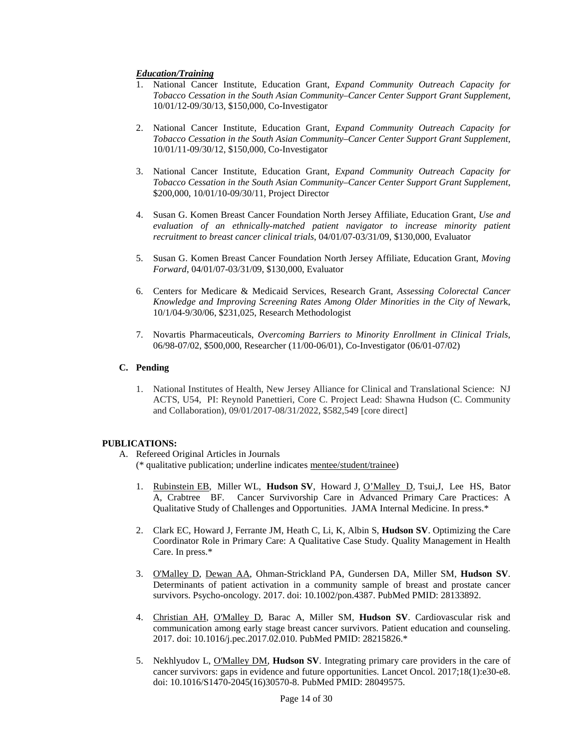# *Education/Training*

- 1. National Cancer Institute, Education Grant, *Expand Community Outreach Capacity for Tobacco Cessation in the South Asian Community–Cancer Center Support Grant Supplement,* 10/01/12-09/30/13, \$150,000, Co-Investigator
- 2. National Cancer Institute, Education Grant, *Expand Community Outreach Capacity for Tobacco Cessation in the South Asian Community–Cancer Center Support Grant Supplement,* 10/01/11-09/30/12, \$150,000, Co-Investigator
- 3. National Cancer Institute, Education Grant, *Expand Community Outreach Capacity for Tobacco Cessation in the South Asian Community–Cancer Center Support Grant Supplement,*  \$200,000, 10/01/10-09/30/11, Project Director
- 4. Susan G. Komen Breast Cancer Foundation North Jersey Affiliate, Education Grant, *Use and evaluation of an ethnically-matched patient navigator to increase minority patient recruitment to breast cancer clinical trials*, 04/01/07-03/31/09, \$130,000, Evaluator
- 5. Susan G. Komen Breast Cancer Foundation North Jersey Affiliate, Education Grant, *Moving Forward*, 04/01/07-03/31/09, \$130,000, Evaluator
- 6. Centers for Medicare & Medicaid Services, Research Grant, *Assessing Colorectal Cancer Knowledge and Improving Screening Rates Among Older Minorities in the City of Newar*k, 10/1/04-9/30/06, \$231,025, Research Methodologist
- 7. Novartis Pharmaceuticals, *Overcoming Barriers to Minority Enrollment in Clinical Trials*, 06/98-07/02, \$500,000, Researcher (11/00-06/01), Co-Investigator (06/01-07/02)

## **C. Pending**

1. National Institutes of Health, New Jersey Alliance for Clinical and Translational Science: NJ ACTS, U54, PI: Reynold Panettieri, Core C. Project Lead: Shawna Hudson (C. Community and Collaboration), 09/01/2017-08/31/2022, \$582,549 [core direct]

### **PUBLICATIONS:**

- A. Refereed Original Articles in Journals
	- (\* qualitative publication; underline indicates mentee/student/trainee)
	- 1. Rubinstein EB, Miller WL, **Hudson SV**, Howard J, O'Malley D, Tsui,J, Lee HS, Bator A, Crabtree BF. Cancer Survivorship Care in Advanced Primary Care Practices: A Qualitative Study of Challenges and Opportunities. JAMA Internal Medicine. In press.\*
	- 2. Clark EC, Howard J, Ferrante JM, Heath C, Li, K, Albin S, **Hudson SV**. Optimizing the Care Coordinator Role in Primary Care: A Qualitative Case Study. Quality Management in Health Care. In press.\*
	- 3. O'Malley D, Dewan AA, Ohman-Strickland PA, Gundersen DA, Miller SM, **Hudson SV**. Determinants of patient activation in a community sample of breast and prostate cancer survivors. Psycho-oncology. 2017. doi: 10.1002/pon.4387. PubMed PMID: 28133892.
	- 4. Christian AH, O'Malley D, Barac A, Miller SM, **Hudson SV**. Cardiovascular risk and communication among early stage breast cancer survivors. Patient education and counseling. 2017. doi: 10.1016/j.pec.2017.02.010. PubMed PMID: 28215826.\*
	- 5. Nekhlyudov L, O'Malley DM, **Hudson SV**. Integrating primary care providers in the care of cancer survivors: gaps in evidence and future opportunities. Lancet Oncol. 2017;18(1):e30-e8. doi: 10.1016/S1470-2045(16)30570-8. PubMed PMID: 28049575.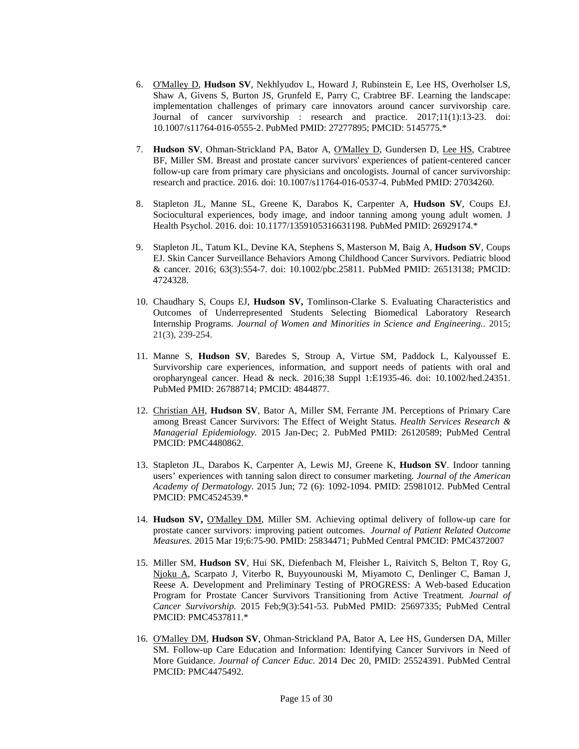- 6. O'Malley D, **Hudson SV**, Nekhlyudov L, Howard J, Rubinstein E, Lee HS, Overholser LS, Shaw A, Givens S, Burton JS, Grunfeld E, Parry C, Crabtree BF. Learning the landscape: implementation challenges of primary care innovators around cancer survivorship care. Journal of cancer survivorship : research and practice. 2017;11(1):13-23. doi: 10.1007/s11764-016-0555-2. PubMed PMID: 27277895; PMCID: 5145775.\*
- 7. **Hudson SV**, Ohman-Strickland PA, Bator A, O'Malley D, Gundersen D, Lee HS, Crabtree BF, Miller SM. Breast and prostate cancer survivors' experiences of patient-centered cancer follow-up care from primary care physicians and oncologists. Journal of cancer survivorship: research and practice. 2016. doi: 10.1007/s11764-016-0537-4. PubMed PMID: 27034260.
- 8. Stapleton JL, Manne SL, Greene K, Darabos K, Carpenter A, **Hudson SV**, Coups EJ. Sociocultural experiences, body image, and indoor tanning among young adult women. J Health Psychol. 2016. doi: 10.1177/1359105316631198. PubMed PMID: 26929174.\*
- 9. Stapleton JL, Tatum KL, Devine KA, Stephens S, Masterson M, Baig A, **Hudson SV**, Coups EJ. Skin Cancer Surveillance Behaviors Among Childhood Cancer Survivors. Pediatric blood & cancer. 2016; 63(3):554-7. doi: 10.1002/pbc.25811. PubMed PMID: 26513138; PMCID: 4724328.
- 10. Chaudhary S, Coups EJ, **Hudson SV,** Tomlinson-Clarke S. Evaluating Characteristics and Outcomes of Underrepresented Students Selecting Biomedical Laboratory Research Internship Programs. *Journal of Women and Minorities in Science and Engineering*.. 2015; 21(3), 239-254.
- 11. Manne S, **Hudson SV**, Baredes S, Stroup A, Virtue SM, Paddock L, Kalyoussef E. Survivorship care experiences, information, and support needs of patients with oral and oropharyngeal cancer. Head & neck. 2016;38 Suppl 1:E1935-46. doi: 10.1002/hed.24351. PubMed PMID: 26788714; PMCID: 4844877.
- 12. Christian AH, **Hudson SV**, Bator A, Miller SM, Ferrante JM. Perceptions of Primary Care among Breast Cancer Survivors: The Effect of Weight Status. *Health Services Research & Managerial Epidemiology.* 2015 Jan-Dec; 2. PubMed PMID: 26120589; PubMed Central PMCID: PMC4480862.
- 13. Stapleton JL, Darabos K, Carpenter A, Lewis MJ, Greene K, **Hudson SV**. Indoor tanning users' experiences with tanning salon direct to consumer marketing*. Journal of the American Academy of Dermatology.* 2015 Jun; 72 (6): 1092-1094. PMID: 25981012. PubMed Central PMCID: PMC4524539.\*
- 14. **Hudson SV,** O'Malley DM, Miller SM. Achieving optimal delivery of follow-up care for prostate cancer survivors: improving patient outcomes. *Journal of Patient Related Outcome Measures*. 2015 Mar 19;6:75-90. PMID: 25834471; PubMed Central PMCID: PMC4372007
- 15. Miller SM, **Hudson SV**, Hui SK, Diefenbach M, Fleisher L, Raivitch S, Belton T, Roy G, Njoku A, Scarpato J, Viterbo R, Buyyounouski M, Miyamoto C, Denlinger C, Baman J, Reese A. Development and Preliminary Testing of PROGRESS: A Web-based Education Program for Prostate Cancer Survivors Transitioning from Active Treatment*. Journal of Cancer Survivorship.* 2015 Feb;9(3):541-53. PubMed PMID: 25697335; PubMed Central PMCID: PMC4537811.\*
- 16. O'Malley DM, **Hudson SV**, Ohman-Strickland PA, Bator A, Lee HS, Gundersen DA, Miller SM. Follow-up Care Education and Information: Identifying Cancer Survivors in Need of More Guidance. *Journal of Cancer Educ.* 2014 Dec 20, PMID: 25524391. PubMed Central PMCID: PMC4475492.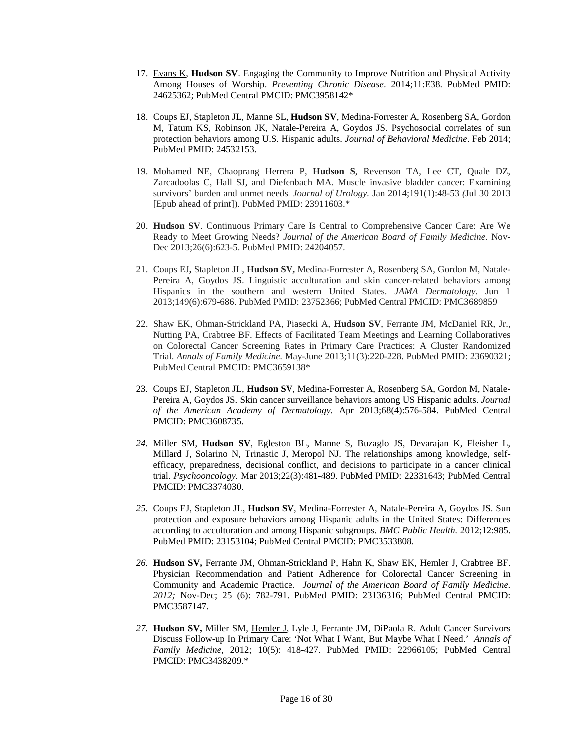- 17. Evans K, **Hudson SV**. Engaging the Community to Improve Nutrition and Physical Activity Among Houses of Worship. *Preventing Chronic Disease*. 2014;11:E38. PubMed PMID: 24625362; PubMed Central PMCID: PMC3958142\*
- 18. Coups EJ, Stapleton JL, Manne SL, **Hudson SV**, Medina-Forrester A, Rosenberg SA, Gordon M, Tatum KS, Robinson JK, Natale-Pereira A, Goydos JS. Psychosocial correlates of sun protection behaviors among U.S. Hispanic adults. *Journal of Behavioral Medicine*. Feb 2014; PubMed PMID: 24532153.
- 19. Mohamed NE, Chaoprang Herrera P, **Hudson S**, Revenson TA, Lee CT, Quale DZ, Zarcadoolas C, Hall SJ, and Diefenbach MA. Muscle invasive bladder cancer: Examining survivors' burden and unmet needs. *Journal of Urology.* Jan 2014;191(1):48-53 *(*Jul 30 2013 [Epub ahead of print]). PubMed PMID: 23911603.\*
- 20. **Hudson SV**. Continuous Primary Care Is Central to Comprehensive Cancer Care: Are We Ready to Meet Growing Needs? *Journal of the American Board of Family Medicine.* Nov-Dec 2013;26(6):623-5. PubMed PMID: 24204057.
- 21. Coups EJ**,** Stapleton JL, **Hudson SV,** Medina-Forrester A, Rosenberg SA, Gordon M, Natale-Pereira A, Goydos JS. Linguistic acculturation and skin cancer-related behaviors among Hispanics in the southern and western United States. *JAMA Dermatology.* Jun 1 2013;149(6):679-686. PubMed PMID: 23752366; PubMed Central PMCID: PMC3689859
- 22. Shaw EK, Ohman-Strickland PA, Piasecki A, **Hudson SV**, Ferrante JM, McDaniel RR, Jr., Nutting PA, Crabtree BF. Effects of Facilitated Team Meetings and Learning Collaboratives on Colorectal Cancer Screening Rates in Primary Care Practices: A Cluster Randomized Trial. *Annals of Family Medicine.* May-June 2013;11(3):220-228. PubMed PMID: 23690321; PubMed Central PMCID: PMC3659138\*
- 23. Coups EJ, Stapleton JL, **Hudson SV**, Medina-Forrester A, Rosenberg SA, Gordon M, Natale-Pereira A, Goydos JS. Skin cancer surveillance behaviors among US Hispanic adults. *Journal of the American Academy of Dermatology.* Apr 2013;68(4):576-584. PubMed Central PMCID: PMC3608735.
- *24.* Miller SM, **Hudson SV**, Egleston BL, Manne S, Buzaglo JS, Devarajan K, Fleisher L, Millard J, Solarino N, Trinastic J, Meropol NJ. The relationships among knowledge, selfefficacy, preparedness, decisional conflict, and decisions to participate in a cancer clinical trial. *Psychooncology.* Mar 2013;22(3):481-489. PubMed PMID: 22331643; PubMed Central PMCID: PMC3374030.
- *25.* Coups EJ, Stapleton JL, **Hudson SV**, Medina-Forrester A, Natale-Pereira A, Goydos JS. Sun protection and exposure behaviors among Hispanic adults in the United States: Differences according to acculturation and among Hispanic subgroups. *BMC Public Health.* 2012;12:985. PubMed PMID: 23153104; PubMed Central PMCID: PMC3533808.
- *26.* **Hudson SV,** Ferrante JM, Ohman-Strickland P, Hahn K, Shaw EK, Hemler J, Crabtree BF. Physician Recommendation and Patient Adherence for Colorectal Cancer Screening in Community and Academic Practice. *Journal of the American Board of Family Medicine. 2012;* Nov-Dec; 25 (6): 782-791. PubMed PMID: 23136316; PubMed Central PMCID: PMC3587147.
- *27.* **Hudson SV,** Miller SM, Hemler J, Lyle J, Ferrante JM, DiPaola R. Adult Cancer Survivors Discuss Follow-up In Primary Care: 'Not What I Want, But Maybe What I Need.' *Annals of Family Medicine*, 2012; 10(5): 418-427. PubMed PMID: 22966105; PubMed Central PMCID: PMC3438209.\*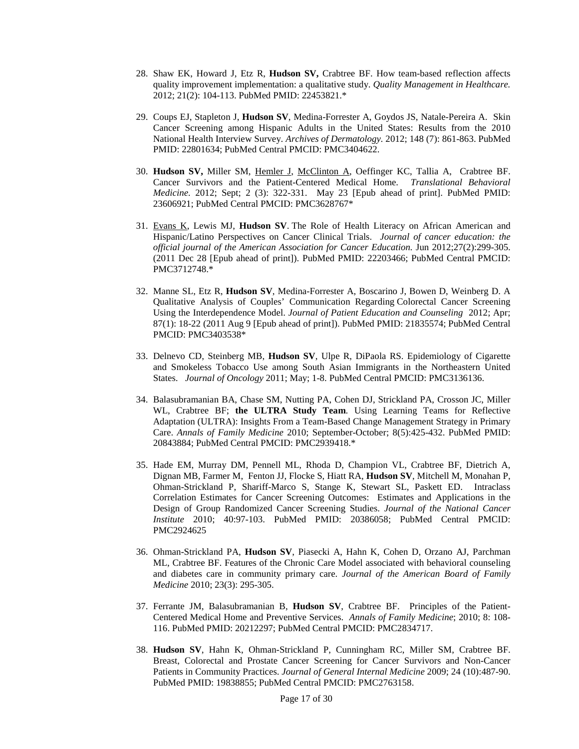- 28. Shaw EK, Howard J, Etz R, **Hudson SV,** Crabtree BF. How team-based reflection affects quality improvement implementation: a qualitative study. *Quality Management in Healthcare.*  2012; 21(2): 104-113. PubMed PMID: 22453821.\*
- 29. Coups EJ, Stapleton J, **Hudson SV**, Medina-Forrester A, Goydos JS, Natale-Pereira A. Skin Cancer Screening among Hispanic Adults in the United States: Results from the 2010 National Health Interview Survey. *Archives of Dermatology.* 2012; 148 (7): 861-863. PubMed PMID: 22801634; PubMed Central PMCID: PMC3404622.
- 30. **Hudson SV,** Miller SM, Hemler J, McClinton A, Oeffinger KC, Tallia A, Crabtree BF. Cancer Survivors and the Patient-Centered Medical Home. *Translational Behavioral Medicine.* 2012; Sept; 2 (3): 322-331. May 23 [Epub ahead of print]. PubMed PMID: 23606921; PubMed Central PMCID: PMC3628767\*
- 31. Evans K, Lewis MJ, **Hudson SV**. The Role of Health Literacy on African American and Hispanic/Latino Perspectives on Cancer Clinical Trials. *Journal of cancer education: the official journal of the American Association for Cancer Education.* Jun 2012;27(2):299-305. (2011 Dec 28 [Epub ahead of print]). PubMed PMID: 22203466; PubMed Central PMCID: PMC3712748.\*
- 32. Manne SL, Etz R, **Hudson SV**, Medina-Forrester A, Boscarino J, Bowen D, Weinberg D. A Qualitative Analysis of Couples' Communication Regarding Colorectal Cancer Screening Using the Interdependence Model. *Journal of Patient Education and Counseling* 2012; Apr; 87(1): 18-22 (2011 Aug 9 [Epub ahead of print]). PubMed PMID: 21835574; PubMed Central PMCID: PMC3403538\*
- 33. Delnevo CD, Steinberg MB, **Hudson SV**, Ulpe R, DiPaola RS. Epidemiology of Cigarette and Smokeless Tobacco Use among South Asian Immigrants in the Northeastern United States. *Journal of Oncology* 2011; May; 1-8. PubMed Central PMCID: PMC3136136.
- 34. [Balasubramanian BA,](http://www.ncbi.nlm.nih.gov/pubmed?term=%22Balasubramanian%20BA%22%5BAuthor%5D) [Chase SM,](http://www.ncbi.nlm.nih.gov/pubmed?term=%22Chase%20SM%22%5BAuthor%5D) [Nutting PA,](http://www.ncbi.nlm.nih.gov/pubmed?term=%22Nutting%20PA%22%5BAuthor%5D) [Cohen DJ,](http://www.ncbi.nlm.nih.gov/pubmed?term=%22Cohen%20DJ%22%5BAuthor%5D) [Strickland PA,](http://www.ncbi.nlm.nih.gov/pubmed?term=%22Strickland%20PA%22%5BAuthor%5D) [Crosson JC,](http://www.ncbi.nlm.nih.gov/pubmed?term=%22Crosson%20JC%22%5BAuthor%5D) [Miller](http://www.ncbi.nlm.nih.gov/pubmed?term=%22Miller%20WL%22%5BAuthor%5D)  [WL,](http://www.ncbi.nlm.nih.gov/pubmed?term=%22Miller%20WL%22%5BAuthor%5D) [Crabtree BF;](http://www.ncbi.nlm.nih.gov/pubmed?term=%22Crabtree%20BF%22%5BAuthor%5D) **[the ULTRA Study Team](http://www.ncbi.nlm.nih.gov/pubmed?term=%22the%20ULTRA%20Study%20Team%22%5BCorporate%20Author%5D)**. Using Learning Teams for Reflective Adaptation (ULTRA): Insights From a Team-Based Change Management Strategy in Primary Care. *Annals of Family Medicine* 2010; September-October; 8(5):425-432. PubMed PMID: 20843884; PubMed Central PMCID: PMC2939418.\*
- 35. Hade EM, Murray DM, Pennell ML, Rhoda D, Champion VL, Crabtree BF, Dietrich A, Dignan MB, Farmer M, Fenton JJ, Flocke S, Hiatt RA, **Hudson SV**, Mitchell M, Monahan P, Ohman-Strickland P, Shariff-Marco S, Stange K, Stewart SL, Paskett ED. Intraclass Correlation Estimates for Cancer Screening Outcomes: Estimates and Applications in the Design of Group Randomized Cancer Screening Studies. *Journal of the National Cancer Institute* 2010; 40:97-103. PubMed PMID: 20386058; PubMed Central PMCID: PMC2924625
- 36. Ohman-Strickland PA, **Hudson SV**, Piasecki A, Hahn K, Cohen D, Orzano AJ, Parchman ML, Crabtree BF. Features of the Chronic Care Model associated with behavioral counseling and diabetes care in community primary care. *Journal of the American Board of Family Medicine* 2010; 23(3): 295-305.
- 37. Ferrante JM, Balasubramanian B, **Hudson SV**, Crabtree BF.Principles of the Patient-Centered Medical Home and Preventive Services. *Annals of Family Medicine*; 2010; 8: 108- 116. PubMed PMID: 20212297; PubMed Central PMCID: PMC2834717.
- 38. **Hudson SV**, Hahn K, Ohman-Strickland P, Cunningham RC, Miller SM, Crabtree BF. Breast, Colorectal and Prostate Cancer Screening for Cancer Survivors and Non-Cancer Patients in Community Practices. *Journal of General Internal Medicine* 2009; 24 (10):487-90. PubMed PMID: 19838855; PubMed Central PMCID: PMC2763158.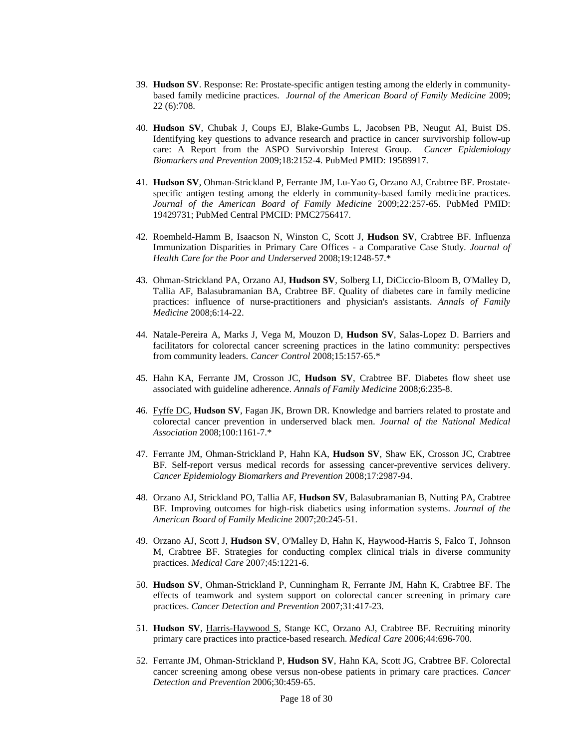- 39. **Hudson SV**. Response: Re: Prostate-specific antigen testing among the elderly in communitybased family medicine practices. *Journal of the American Board of Family Medicine* 2009; 22 (6):708.
- 40. **Hudson SV**, Chubak J, Coups EJ, Blake-Gumbs L, Jacobsen PB, Neugut AI, Buist DS. Identifying key questions to advance research and practice in cancer survivorship follow-up care: A Report from the ASPO Survivorship Interest Group. *Cancer Epidemiology Biomarkers and Prevention* 2009;18:2152-4. PubMed PMID: 19589917.
- 41. **Hudson SV**, Ohman-Strickland P, Ferrante JM, Lu-Yao G, Orzano AJ, Crabtree BF. Prostatespecific antigen testing among the elderly in community-based family medicine practices. *Journal of the American Board of Family Medicine* 2009;22:257-65. PubMed PMID: 19429731; PubMed Central PMCID: PMC2756417.
- 42. Roemheld-Hamm B, Isaacson N, Winston C, Scott J, **Hudson SV**, Crabtree BF. Influenza Immunization Disparities in Primary Care Offices - a Comparative Case Study. *Journal of Health Care for the Poor and Underserved* 2008;19:1248-57.\*
- 43. Ohman-Strickland PA, Orzano AJ, **Hudson SV**, Solberg LI, DiCiccio-Bloom B, O'Malley D, Tallia AF, Balasubramanian BA, Crabtree BF. Quality of diabetes care in family medicine practices: influence of nurse-practitioners and physician's assistants. *Annals of Family Medicine* 2008;6:14-22.
- 44. Natale-Pereira A, Marks J, Vega M, Mouzon D, **Hudson SV**, Salas-Lopez D. Barriers and facilitators for colorectal cancer screening practices in the latino community: perspectives from community leaders. *Cancer Control* 2008;15:157-65.\*
- 45. Hahn KA, Ferrante JM, Crosson JC, **Hudson SV**, Crabtree BF. Diabetes flow sheet use associated with guideline adherence. *Annals of Family Medicine* 2008;6:235-8.
- 46. Fyffe DC, **Hudson SV**, Fagan JK, Brown DR. Knowledge and barriers related to prostate and colorectal cancer prevention in underserved black men. *Journal of the National Medical Association* 2008;100:1161-7.\*
- 47. Ferrante JM, Ohman-Strickland P, Hahn KA, **Hudson SV**, Shaw EK, Crosson JC, Crabtree BF. Self-report versus medical records for assessing cancer-preventive services delivery. *Cancer Epidemiology Biomarkers and Prevention* 2008;17:2987-94.
- 48. Orzano AJ, Strickland PO, Tallia AF, **Hudson SV**, Balasubramanian B, Nutting PA, Crabtree BF. Improving outcomes for high-risk diabetics using information systems. *Journal of the American Board of Family Medicine* 2007;20:245-51.
- 49. Orzano AJ, Scott J, **Hudson SV**, O'Malley D, Hahn K, Haywood-Harris S, Falco T, Johnson M, Crabtree BF. Strategies for conducting complex clinical trials in diverse community practices. *Medical Care* 2007;45:1221-6.
- 50. **Hudson SV**, Ohman-Strickland P, Cunningham R, Ferrante JM, Hahn K, Crabtree BF. The effects of teamwork and system support on colorectal cancer screening in primary care practices. *Cancer Detection and Prevention* 2007;31:417-23.
- 51. **Hudson SV**, Harris-Haywood S, Stange KC, Orzano AJ, Crabtree BF. Recruiting minority primary care practices into practice-based research. *Medical Care* 2006;44:696-700.
- 52. Ferrante JM, Ohman-Strickland P, **Hudson SV**, Hahn KA, Scott JG, Crabtree BF. Colorectal cancer screening among obese versus non-obese patients in primary care practices*. Cancer Detection and Prevention* 2006;30:459-65.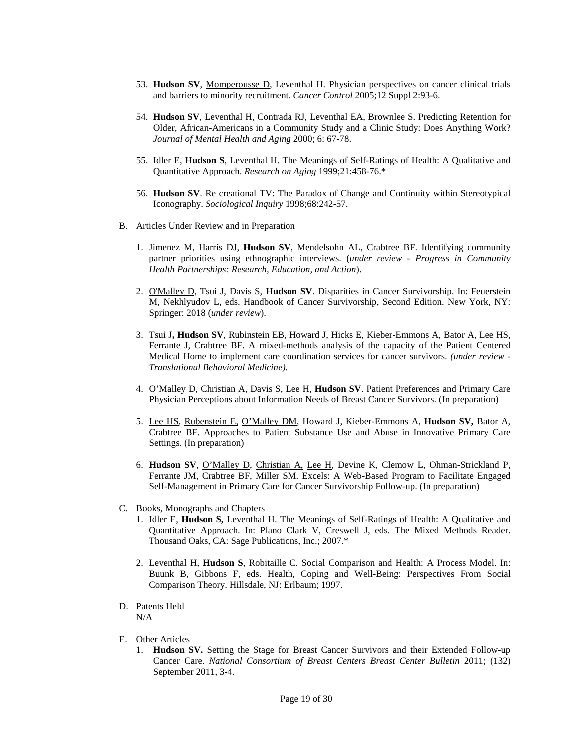- 53. **Hudson SV**, Momperousse D, Leventhal H. Physician perspectives on cancer clinical trials and barriers to minority recruitment. *Cancer Control* 2005;12 Suppl 2:93-6.
- 54. **Hudson SV**, Leventhal H, Contrada RJ, Leventhal EA, Brownlee S. Predicting Retention for Older, African-Americans in a Community Study and a Clinic Study: Does Anything Work? *Journal of Mental Health and Aging* 2000; 6: 67-78.
- 55. Idler E, **Hudson S**, Leventhal H. The Meanings of Self-Ratings of Health: A Qualitative and Quantitative Approach. *Research on Aging* 1999;21:458-76.\*
- 56. **Hudson SV**. Re creational TV: The Paradox of Change and Continuity within Stereotypical Iconography. *Sociological Inquiry* 1998;68:242-57.
- B. Articles Under Review and in Preparation
	- 1. Jimenez M, Harris DJ, **Hudson SV**, Mendelsohn AL, Crabtree BF. Identifying community partner priorities using ethnographic interviews. (*under review - Progress in Community Health Partnerships: Research, Education, and Action*).
	- 2. O'Malley D, Tsui J, Davis S, **Hudson SV**. Disparities in Cancer Survivorship. In: Feuerstein M, Nekhlyudov L, eds. Handbook of Cancer Survivorship, Second Edition. New York, NY: Springer: 2018 (*under review*).
	- 3. Tsui J**, Hudson SV**, Rubinstein EB, Howard J, Hicks E, Kieber-Emmons A, Bator A, Lee HS, Ferrante J, Crabtree BF. A mixed-methods analysis of the capacity of the Patient Centered Medical Home to implement care coordination services for cancer survivors. *(under review - Translational Behavioral Medicine).*
	- 4. O'Malley D, Christian A, Davis S, Lee H, **Hudson SV**. Patient Preferences and Primary Care Physician Perceptions about Information Needs of Breast Cancer Survivors. (In preparation)
	- 5. Lee HS, Rubenstein E, O'Malley DM, Howard J, Kieber-Emmons A, **Hudson SV,** Bator A, Crabtree BF. Approaches to Patient Substance Use and Abuse in Innovative Primary Care Settings. (In preparation)
	- 6. **Hudson SV**, O'Malley D, Christian A, Lee H, Devine K, Clemow L, Ohman-Strickland P, Ferrante JM, Crabtree BF, Miller SM. Excels: A Web-Based Program to Facilitate Engaged Self-Management in Primary Care for Cancer Survivorship Follow-up. (In preparation)
- C. Books, Monographs and Chapters
	- 1. Idler E, **Hudson S,** Leventhal H. The Meanings of Self-Ratings of Health: A Qualitative and Quantitative Approach. In: Plano Clark V, Creswell J, eds. The Mixed Methods Reader. Thousand Oaks, CA: Sage Publications, Inc.; 2007.\*
	- 2. Leventhal H, **Hudson S**, Robitaille C. Social Comparison and Health: A Process Model. In: Buunk B, Gibbons F, eds. Health, Coping and Well-Being: Perspectives From Social Comparison Theory. Hillsdale, NJ: Erlbaum; 1997.
- D. Patents Held N/A
- E. Other Articles
	- 1. **Hudson SV.** Setting the Stage for Breast Cancer Survivors and their Extended Follow-up Cancer Care. *National Consortium of Breast Centers Breast Center Bulletin* 2011; (132) September 2011, 3-4.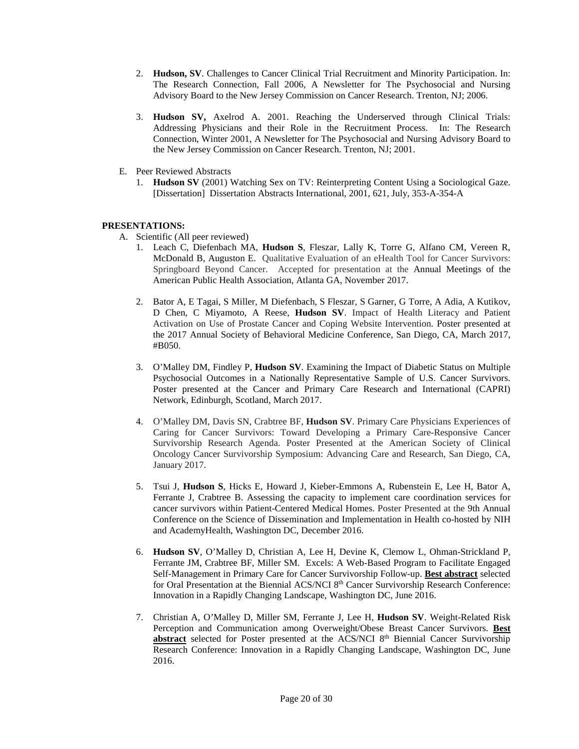- 2. **Hudson, SV**. Challenges to Cancer Clinical Trial Recruitment and Minority Participation. In: The Research Connection, Fall 2006, A Newsletter for The Psychosocial and Nursing Advisory Board to the New Jersey Commission on Cancer Research. Trenton, NJ; 2006.
- 3. **Hudson SV,** Axelrod A. 2001. Reaching the Underserved through Clinical Trials: Addressing Physicians and their Role in the Recruitment Process. In: The Research Connection, Winter 2001, A Newsletter for The Psychosocial and Nursing Advisory Board to the New Jersey Commission on Cancer Research. Trenton, NJ; 2001.
- E. Peer Reviewed Abstracts
	- 1. **Hudson SV** (2001) Watching Sex on TV: Reinterpreting Content Using a Sociological Gaze. [Dissertation] Dissertation Abstracts International, 2001, 621, July, 353-A-354-A

# **PRESENTATIONS:**

- A. Scientific (All peer reviewed)
	- 1. Leach C, Diefenbach MA, **Hudson S**, Fleszar, Lally K, Torre G, Alfano CM, Vereen R, McDonald B, Auguston E. Qualitative Evaluation of an eHealth Tool for Cancer Survivors: Springboard Beyond Cancer. Accepted for presentation at the Annual Meetings of the American Public Health Association, Atlanta GA, November 2017.
	- 2. Bator A, E Tagai, S Miller, M Diefenbach, S Fleszar, S Garner, G Torre, A Adia, A Kutikov, D Chen, C Miyamoto, A Reese, **Hudson SV**. Impact of Health Literacy and Patient Activation on Use of Prostate Cancer and Coping Website Intervention. Poster presented at the 2017 Annual Society of Behavioral Medicine Conference, San Diego, CA, March 2017, #B050.
	- 3. O'Malley DM, Findley P, **Hudson SV**. Examining the Impact of Diabetic Status on Multiple Psychosocial Outcomes in a Nationally Representative Sample of U.S. Cancer Survivors. Poster presented at the Cancer and Primary Care Research and International (CAPRI) Network, Edinburgh, Scotland, March 2017.
	- 4. O'Malley DM, Davis SN, Crabtree BF, **Hudson SV**. Primary Care Physicians Experiences of Caring for Cancer Survivors: Toward Developing a Primary Care-Responsive Cancer Survivorship Research Agenda. Poster Presented at the American Society of Clinical Oncology Cancer Survivorship Symposium: Advancing Care and Research, San Diego, CA, January 2017.
	- 5. Tsui J, **Hudson S**, Hicks E, Howard J, Kieber-Emmons A, Rubenstein E, Lee H, Bator A, Ferrante J, Crabtree B. Assessing the capacity to implement care coordination services for cancer survivors within Patient-Centered Medical Homes. Poster Presented at the 9th Annual Conference on the Science of Dissemination and Implementation in Health co-hosted by NIH and AcademyHealth, Washington DC, December 2016.
	- 6. **Hudson SV**, O'Malley D, Christian A, Lee H, Devine K, Clemow L, Ohman-Strickland P, Ferrante JM, Crabtree BF, Miller SM. Excels: A Web-Based Program to Facilitate Engaged Self-Management in Primary Care for Cancer Survivorship Follow-up. **Best abstract** selected for Oral Presentation at the Biennial ACS/NCI 8th Cancer Survivorship Research Conference: Innovation in a Rapidly Changing Landscape, Washington DC, June 2016.
	- 7. Christian A, O'Malley D, Miller SM, Ferrante J, Lee H, **Hudson SV**. Weight-Related Risk Perception and Communication among Overweight/Obese Breast Cancer Survivors. **Best abstract** selected for Poster presented at the ACS/NCI 8<sup>th</sup> Biennial Cancer Survivorship Research Conference: Innovation in a Rapidly Changing Landscape, Washington DC, June 2016.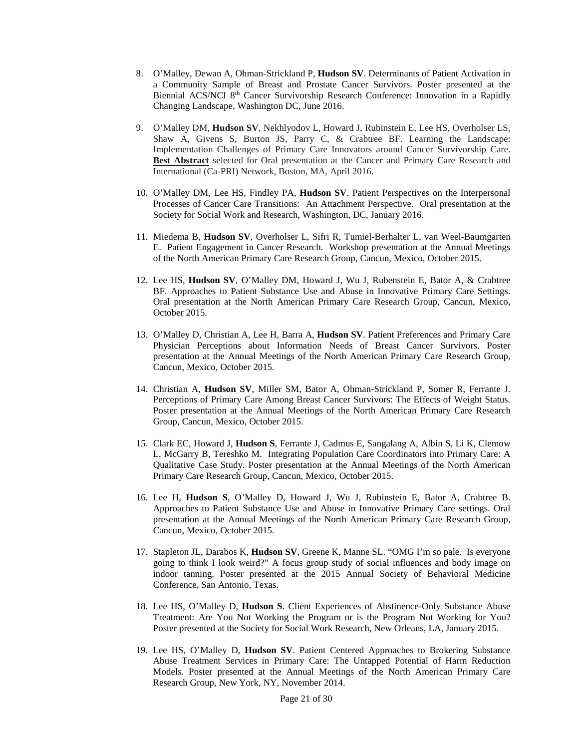- 8. O'Malley, Dewan A, Ohman-Strickland P, **Hudson SV**. Determinants of Patient Activation in a Community Sample of Breast and Prostate Cancer Survivors. Poster presented at the Biennial ACS/NCI 8<sup>th</sup> Cancer Survivorship Research Conference: Innovation in a Rapidly Changing Landscape, Washington DC, June 2016.
- 9. O'Malley DM, **Hudson SV**, Nekhlyodov L, Howard J, Rubinstein E, Lee HS, Overholser LS, Shaw A, Givens S, Burton JS, Parry C, & Crabtree BF. Learning the Landscape: Implementation Challenges of Primary Care Innovators around Cancer Survivorship Care. **Best Abstract** selected for Oral presentation at the Cancer and Primary Care Research and International (Ca-PRI) Network, Boston, MA, April 2016.
- 10. O'Malley DM, Lee HS, Findley PA, **Hudson SV**. Patient Perspectives on the Interpersonal Processes of Cancer Care Transitions: An Attachment Perspective. Oral presentation at the Society for Social Work and Research, Washington, DC, January 2016.
- 11. Miedema B, **Hudson SV**, Overholser L, Sifri R, Tumiel-Berhalter L, van Weel-Baumgarten E. Patient Engagement in Cancer Research. Workshop presentation at the Annual Meetings of the North American Primary Care Research Group, Cancun, Mexico, October 2015.
- 12. Lee HS, **Hudson SV**, O'Malley DM, Howard J, Wu J, Rubenstein E, Bator A, & Crabtree BF. Approaches to Patient Substance Use and Abuse in Innovative Primary Care Settings. Oral presentation at the North American Primary Care Research Group, Cancun, Mexico, October 2015.
- 13. O'Malley D, Christian A, Lee H, Barra A, **Hudson SV**. Patient Preferences and Primary Care Physician Perceptions about Information Needs of Breast Cancer Survivors. Poster presentation at the Annual Meetings of the North American Primary Care Research Group, Cancun, Mexico, October 2015.
- 14. Christian A, **Hudson SV**, Miller SM, Bator A, Ohman-Strickland P, Somer R, Ferrante J. [Perceptions of Primary Care Among Breast Cancer Survivors: The Effects of Weight Status.](http://www.napcrg.org/Conferences/2015AnnualMeeting/SearchEducationalSessions?m=6&s=15444)  Poster presentation at the Annual Meetings of the North American Primary Care Research Group, Cancun, Mexico, October 2015.
- 15. Clark EC, Howard J, **Hudson S**, Ferrante J, Cadmus E, Sangalang A, Albin S, Li K, Clemow L, McGarry B, Tereshko M. Integrating Population Care Coordinators into Primary Care: A Qualitative Case Study. Poster presentation at the Annual Meetings of the North American Primary Care Research Group, Cancun, Mexico, October 2015.
- 16. Lee H, **Hudson S**, O'Malley D, Howard J, Wu J, Rubinstein E, Bator A, Crabtree B. Approaches to Patient Substance Use and Abuse in Innovative Primary Care settings. Oral presentation at the Annual Meetings of the North American Primary Care Research Group, Cancun, Mexico, October 2015.
- 17. Stapleton JL, Darabos K, **Hudson SV**, Greene K, Manne SL. "OMG I'm so pale. Is everyone going to think I look weird?" A focus group study of social influences and body image on indoor tanning. Poster presented at the 2015 Annual Society of Behavioral Medicine Conference, San Antonio, Texas.
- 18. Lee HS, O'Malley D, **Hudson S**. Client Experiences of Abstinence-Only Substance Abuse Treatment: Are You Not Working the Program or is the Program Not Working for You? Poster presented at the Society for Social Work Research, New Orleans, LA, January 2015.
- 19. Lee HS, O'Malley D, **Hudson SV**. Patient Centered Approaches to Brokering Substance Abuse Treatment Services in Primary Care: The Untapped Potential of Harm Reduction Models. Poster presented at the Annual Meetings of the North American Primary Care Research Group, New York, NY, November 2014.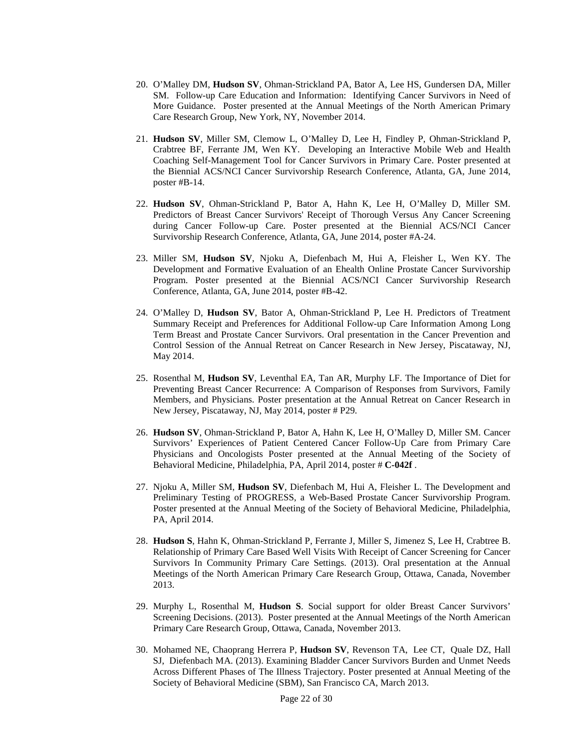- 20. O'Malley DM, **Hudson SV**, Ohman-Strickland PA, Bator A, Lee HS, Gundersen DA, Miller SM. Follow-up Care Education and Information: Identifying Cancer Survivors in Need of More Guidance. Poster presented at the Annual Meetings of the North American Primary Care Research Group, New York, NY, November 2014.
- 21. **Hudson SV**, Miller SM, Clemow L, O'Malley D, Lee H, Findley P, Ohman-Strickland P, Crabtree BF, Ferrante JM, Wen KY. Developing an Interactive Mobile Web and Health Coaching Self-Management Tool for Cancer Survivors in Primary Care. Poster presented at the Biennial ACS/NCI Cancer Survivorship Research Conference, Atlanta, GA, June 2014, poster #B-14.
- 22. **Hudson SV**, Ohman-Strickland P, Bator A, Hahn K, Lee H, O'Malley D, Miller SM. Predictors of Breast Cancer Survivors' Receipt of Thorough Versus Any Cancer Screening during Cancer Follow-up Care. Poster presented at the Biennial ACS/NCI Cancer Survivorship Research Conference, Atlanta, GA, June 2014, poster #A-24.
- 23. Miller SM, **Hudson SV**, Njoku A, Diefenbach M, Hui A, Fleisher L, Wen KY. The Development and Formative Evaluation of an Ehealth Online Prostate Cancer Survivorship Program. Poster presented at the Biennial ACS/NCI Cancer Survivorship Research Conference, Atlanta, GA, June 2014, poster #B-42.
- 24. O'Malley D, **Hudson SV**, Bator A, Ohman-Strickland P, Lee H. Predictors of Treatment Summary Receipt and Preferences for Additional Follow-up Care Information Among Long Term Breast and Prostate Cancer Survivors. Oral presentation in the Cancer Prevention and Control Session of the Annual Retreat on Cancer Research in New Jersey, Piscataway, NJ, May 2014.
- 25. Rosenthal M, **Hudson SV**, Leventhal EA, Tan AR, Murphy LF. The Importance of Diet for Preventing Breast Cancer Recurrence: A Comparison of Responses from Survivors, Family Members, and Physicians. Poster presentation at the Annual Retreat on Cancer Research in New Jersey, Piscataway, NJ, May 2014, poster # P29.
- 26. **Hudson SV**, Ohman-Strickland P, Bator A, Hahn K, Lee H, O'Malley D, Miller SM. Cancer Survivors' Experiences of Patient Centered Cancer Follow-Up Care from Primary Care Physicians and Oncologists Poster presented at the Annual Meeting of the Society of Behavioral Medicine, Philadelphia, PA, April 2014, poster # **C-042f** .
- 27. Njoku A, Miller SM, **Hudson SV**, Diefenbach M, Hui A, Fleisher L. The Development and Preliminary Testing of PROGRESS, a Web-Based Prostate Cancer Survivorship Program. Poster presented at the Annual Meeting of the Society of Behavioral Medicine, Philadelphia, PA, April 2014.
- 28. **Hudson S**, Hahn K, Ohman-Strickland P, Ferrante J, Miller S, Jimenez S, Lee H, Crabtree B. Relationship of Primary Care Based Well Visits With Receipt of Cancer Screening for Cancer Survivors In Community Primary Care Settings. (2013). Oral presentation at the Annual Meetings of the North American Primary Care Research Group, Ottawa, Canada, November 2013.
- 29. Murphy L, Rosenthal M, **Hudson S**. Social support for older Breast Cancer Survivors' Screening Decisions. (2013). Poster presented at the Annual Meetings of the North American Primary Care Research Group, Ottawa, Canada, November 2013.
- 30. Mohamed NE, Chaoprang Herrera P, **Hudson SV**, Revenson TA, Lee CT, Quale DZ, Hall SJ, Diefenbach MA. (2013). Examining Bladder Cancer Survivors Burden and Unmet Needs Across Different Phases of The Illness Trajectory. Poster presented at Annual Meeting of the Society of Behavioral Medicine (SBM), San Francisco CA, March 2013.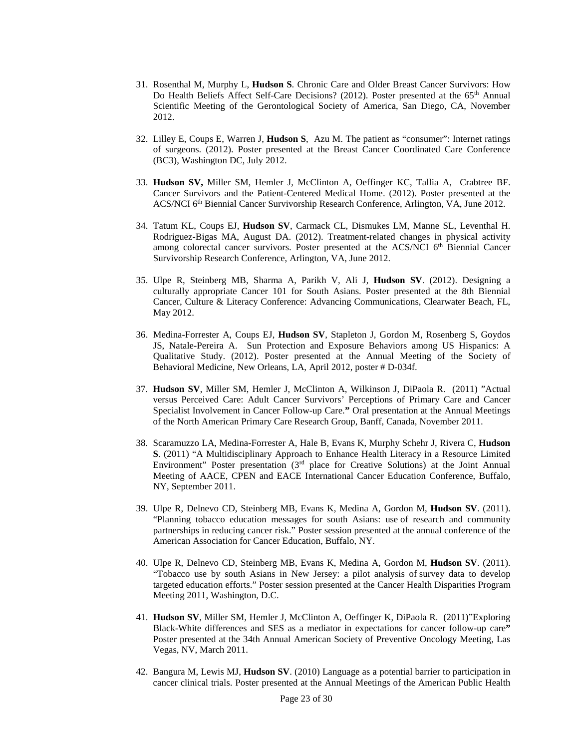- 31. Rosenthal M, Murphy L, **Hudson S**. Chronic Care and Older Breast Cancer Survivors: How Do Health Beliefs Affect Self-Care Decisions? (2012). Poster presented at the 65th Annual Scientific Meeting of the Gerontological Society of America, San Diego, CA, November 2012.
- 32. Lilley E, Coups E, Warren J, **Hudson S**, Azu M. The patient as "consumer": Internet ratings of surgeons. (2012). Poster presented at the Breast Cancer Coordinated Care Conference (BC3), Washington DC, July 2012.
- 33. **Hudson SV,** Miller SM, Hemler J, McClinton A, Oeffinger KC, Tallia A, Crabtree BF. Cancer Survivors and the Patient-Centered Medical Home. (2012). Poster presented at the ACS/NCI 6th Biennial Cancer Survivorship Research Conference, Arlington, VA, June 2012.
- 34. Tatum KL, Coups EJ, **Hudson SV**, Carmack CL, Dismukes LM, Manne SL, Leventhal H. Rodriguez-Bigas MA, August DA. (2012). Treatment-related changes in physical activity among colorectal cancer survivors. Poster presented at the ACS/NCI  $6<sup>th</sup>$  Biennial Cancer Survivorship Research Conference, Arlington, VA, June 2012.
- 35. Ulpe R, Steinberg MB, Sharma A, Parikh V, Ali J, **Hudson SV**. (2012). Designing a culturally appropriate Cancer 101 for South Asians. Poster presented at the 8th Biennial Cancer, Culture & Literacy Conference: Advancing Communications, Clearwater Beach, FL, May 2012.
- 36. Medina-Forrester A, Coups EJ, **Hudson SV**, Stapleton J, Gordon M, Rosenberg S, Goydos JS, Natale-Pereira A. Sun Protection and Exposure Behaviors among US Hispanics: A Qualitative Study. (2012). Poster presented at the Annual Meeting of the Society of Behavioral Medicine, New Orleans, LA, April 2012, poster # D-034f.
- 37. **Hudson SV**, Miller SM, Hemler J, McClinton A, Wilkinson J, DiPaola R. (2011) "Actual versus Perceived Care: Adult Cancer Survivors' Perceptions of Primary Care and Cancer Specialist Involvement in Cancer Follow-up Care.**"** Oral presentation at the Annual Meetings of the North American Primary Care Research Group, Banff, Canada, November 2011.
- 38. Scaramuzzo LA, Medina-Forrester A, Hale B, Evans K, Murphy Schehr J, Rivera C, **Hudson S**. (2011) "A Multidisciplinary Approach to Enhance Health Literacy in a Resource Limited Environment" Poster presentation (3rd place for Creative Solutions) at the Joint Annual Meeting of AACE, CPEN and EACE International Cancer Education Conference, Buffalo, NY, September 2011.
- 39. Ulpe R, Delnevo CD, Steinberg MB, Evans K, Medina A, Gordon M, **Hudson SV**. (2011). "Planning tobacco education messages for south Asians: use of research and community partnerships in reducing cancer risk." Poster session presented at the annual conference of the American Association for Cancer Education, Buffalo, NY.
- 40. Ulpe R, Delnevo CD, Steinberg MB, Evans K, Medina A, Gordon M, **Hudson SV**. (2011). "Tobacco use by south Asians in New Jersey: a pilot analysis of survey data to develop targeted education efforts." Poster session presented at the Cancer Health Disparities Program Meeting 2011, Washington, D.C.
- 41. **Hudson SV**, Miller SM, Hemler J, McClinton A, Oeffinger K, DiPaola R. (2011)"Exploring Black-White differences and SES as a mediator in expectations for cancer follow-up care**"** Poster presented at the 34th Annual American Society of Preventive Oncology Meeting, Las Vegas, NV, March 2011.
- 42. Bangura M, Lewis MJ, **Hudson SV**. (2010) Language as a potential barrier to participation in cancer clinical trials. Poster presented at the Annual Meetings of the American Public Health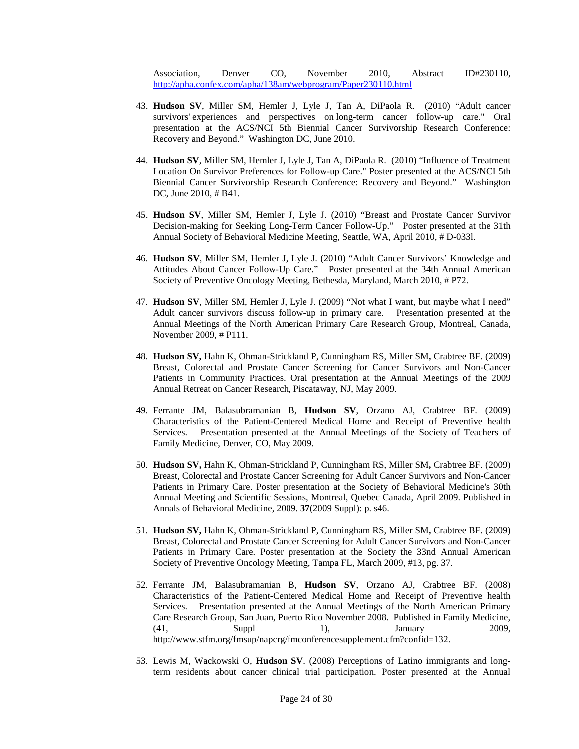Association, Denver CO, November 2010, Abstract ID#230110, <http://apha.confex.com/apha/138am/webprogram/Paper230110.html>

- 43. **Hudson SV**, Miller SM, Hemler J, Lyle J, Tan A, DiPaola R. (2010) "Adult cancer survivors' experiences and perspectives on long-term cancer follow-up care." Oral presentation at the ACS/NCI 5th Biennial Cancer Survivorship Research Conference: Recovery and Beyond." Washington DC, June 2010.
- 44. **Hudson SV**, Miller SM, Hemler J, Lyle J, Tan A, DiPaola R. (2010) "Influence of Treatment Location On Survivor Preferences for Follow-up Care." Poster presented at the ACS/NCI 5th Biennial Cancer Survivorship Research Conference: Recovery and Beyond." Washington DC, June 2010, # B41.
- 45. **Hudson SV**, Miller SM, Hemler J, Lyle J. (2010) "Breast and Prostate Cancer Survivor Decision-making for Seeking Long-Term Cancer Follow-Up." Poster presented at the 31th Annual Society of Behavioral Medicine Meeting, Seattle, WA, April 2010, # D-033l.
- 46. **Hudson SV**, Miller SM, Hemler J, Lyle J. (2010) "Adult Cancer Survivors' Knowledge and Attitudes About Cancer Follow-Up Care." Poster presented at the 34th Annual American Society of Preventive Oncology Meeting, Bethesda, Maryland, March 2010, # P72.
- 47. **Hudson SV**, Miller SM, Hemler J, Lyle J. (2009) "Not what I want, but maybe what I need" Adult cancer survivors discuss follow-up in primary care. Presentation presented at the Annual Meetings of the North American Primary Care Research Group, Montreal, Canada, November 2009, # P111.
- 48. **Hudson SV,** Hahn K, Ohman-Strickland P, Cunningham RS, Miller SM**,** Crabtree BF. (2009) Breast, Colorectal and Prostate Cancer Screening for Cancer Survivors and Non-Cancer Patients in Community Practices. Oral presentation at the Annual Meetings of the 2009 Annual Retreat on Cancer Research, Piscataway, NJ, May 2009.
- 49. Ferrante JM, Balasubramanian B, **Hudson SV**, Orzano AJ, Crabtree BF. (2009) Characteristics of the Patient-Centered Medical Home and Receipt of Preventive health Services. Presentation presented at the Annual Meetings of the Society of Teachers of Family Medicine, Denver, CO, May 2009.
- 50. **Hudson SV,** Hahn K, Ohman-Strickland P, Cunningham RS, Miller SM**,** Crabtree BF. (2009) Breast, Colorectal and Prostate Cancer Screening for Adult Cancer Survivors and Non-Cancer Patients in Primary Care. Poster presentation at the Society of Behavioral Medicine's 30th Annual Meeting and Scientific Sessions, Montreal, Quebec Canada, April 2009. Published in Annals of Behavioral Medicine, 2009. **37**(2009 Suppl): p. s46.
- 51. **Hudson SV,** Hahn K, Ohman-Strickland P, Cunningham RS, Miller SM**,** Crabtree BF. (2009) Breast, Colorectal and Prostate Cancer Screening for Adult Cancer Survivors and Non-Cancer Patients in Primary Care. Poster presentation at the Society the 33nd Annual American Society of Preventive Oncology Meeting, Tampa FL, March 2009, #13, pg. 37.
- 52. Ferrante JM, Balasubramanian B, **Hudson SV**, Orzano AJ, Crabtree BF. (2008) Characteristics of the Patient-Centered Medical Home and Receipt of Preventive health Services. Presentation presented at the Annual Meetings of the North American Primary Care Research Group, San Juan, Puerto Rico November 2008. Published in Family Medicine, (41, Suppl 1), January 2009, http://www.stfm.org/fmsup/napcrg/fmconferencesupplement.cfm?confid=132.
- 53. Lewis M, Wackowski O, **Hudson SV**. (2008) Perceptions of Latino immigrants and longterm residents about cancer clinical trial participation. Poster presented at the Annual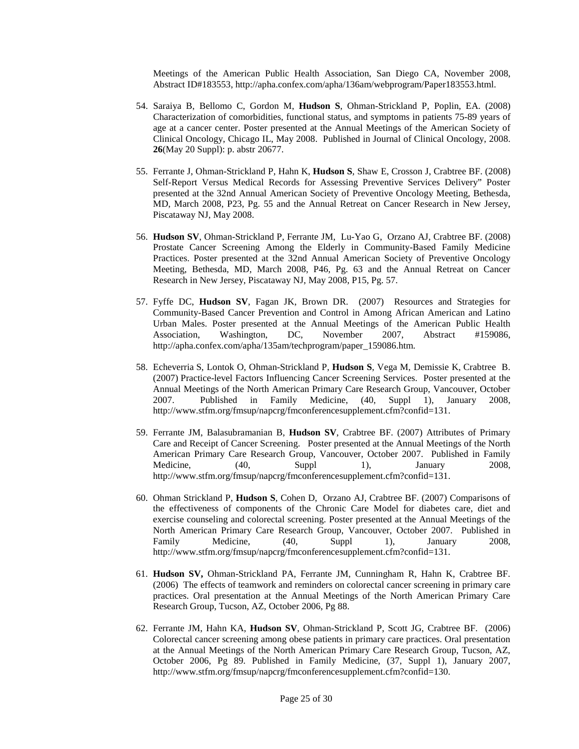Meetings of the American Public Health Association, San Diego CA, November 2008, Abstract ID#183553, http://apha.confex.com/apha/136am/webprogram/Paper183553.html.

- 54. Saraiya B, Bellomo C, Gordon M, **Hudson S**, Ohman-Strickland P, Poplin, EA. (2008) Characterization of comorbidities, functional status, and symptoms in patients 75-89 years of age at a cancer center. Poster presented at the Annual Meetings of the American Society of Clinical Oncology, Chicago IL, May 2008. Published in Journal of Clinical Oncology, 2008. **26**(May 20 Suppl): p. abstr 20677.
- 55. Ferrante J, Ohman-Strickland P, Hahn K, **Hudson S**, Shaw E, Crosson J, Crabtree BF. (2008) Self-Report Versus Medical Records for Assessing Preventive Services Delivery" Poster presented at the 32nd Annual American Society of Preventive Oncology Meeting, Bethesda, MD, March 2008, P23, Pg. 55 and the Annual Retreat on Cancer Research in New Jersey, Piscataway NJ, May 2008.
- 56. **Hudson SV**, Ohman-Strickland P, Ferrante JM, Lu-Yao G, Orzano AJ, Crabtree BF. (2008) Prostate Cancer Screening Among the Elderly in Community-Based Family Medicine Practices. Poster presented at the 32nd Annual American Society of Preventive Oncology Meeting, Bethesda, MD, March 2008, P46, Pg. 63 and the Annual Retreat on Cancer Research in New Jersey, Piscataway NJ, May 2008, P15, Pg. 57.
- 57. Fyffe DC, **Hudson SV**, Fagan JK, Brown DR. (2007) Resources and Strategies for Community-Based Cancer Prevention and Control in Among African American and Latino Urban Males. Poster presented at the Annual Meetings of the American Public Health Association, Washington, DC, November 2007, Abstract #159086, http://apha.confex.com/apha/135am/techprogram/paper\_159086.htm.
- 58. Echeverria S, Lontok O, Ohman-Strickland P, **Hudson S**, Vega M, Demissie K, Crabtree B. (2007) Practice-level Factors Influencing Cancer Screening Services. Poster presented at the Annual Meetings of the North American Primary Care Research Group, Vancouver, October 2007. Published in Family Medicine, (40, Suppl 1), January 2008, http://www.stfm.org/fmsup/napcrg/fmconferencesupplement.cfm?confid=131.
- 59. Ferrante JM, Balasubramanian B, **Hudson SV**, Crabtree BF. (2007) Attributes of Primary Care and Receipt of Cancer Screening. Poster presented at the Annual Meetings of the North American Primary Care Research Group, Vancouver, October 2007. Published in Family Medicine, (40, Suppl 1), January 2008, http://www.stfm.org/fmsup/napcrg/fmconferencesupplement.cfm?confid=131.
- 60. Ohman Strickland P, **Hudson S**, Cohen D, Orzano AJ, Crabtree BF. (2007) Comparisons of the effectiveness of components of the Chronic Care Model for diabetes care, diet and exercise counseling and colorectal screening. Poster presented at the Annual Meetings of the North American Primary Care Research Group, Vancouver, October 2007. Published in Family Medicine, (40, Suppl 1), January 2008, http://www.stfm.org/fmsup/napcrg/fmconferencesupplement.cfm?confid=131.
- 61. **Hudson SV,** Ohman-Strickland PA, Ferrante JM, Cunningham R, Hahn K, Crabtree BF. (2006) The effects of teamwork and reminders on colorectal cancer screening in primary care practices. Oral presentation at the Annual Meetings of the North American Primary Care Research Group, Tucson, AZ, October 2006, Pg 88.
- 62. Ferrante JM, Hahn KA, **Hudson SV**, Ohman-Strickland P, Scott JG, Crabtree BF. (2006) Colorectal cancer screening among obese patients in primary care practices. Oral presentation at the Annual Meetings of the North American Primary Care Research Group, Tucson, AZ, October 2006, Pg 89. Published in Family Medicine, (37, Suppl 1), January 2007, http://www.stfm.org/fmsup/napcrg/fmconferencesupplement.cfm?confid=130.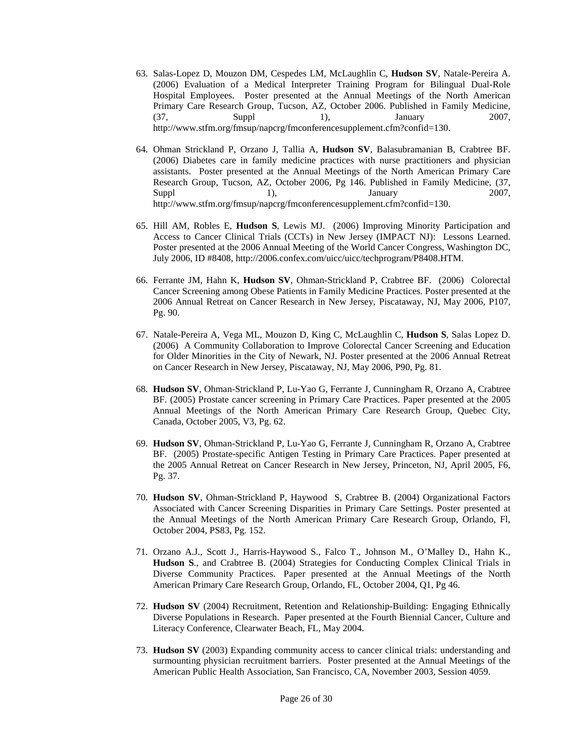- 63. Salas-Lopez D, Mouzon DM, Cespedes LM, McLaughlin C, **Hudson SV**, Natale-Pereira A. (2006) Evaluation of a Medical Interpreter Training Program for Bilingual Dual-Role Hospital Employees. Poster presented at the Annual Meetings of the North American Primary Care Research Group, Tucson, AZ, October 2006. Published in Family Medicine, (37, Suppl 1), January 2007, http://www.stfm.org/fmsup/napcrg/fmconferencesupplement.cfm?confid=130.
- 64. Ohman Strickland P, Orzano J, Tallia A, **Hudson SV**, Balasubramanian B, Crabtree BF. (2006) Diabetes care in family medicine practices with nurse practitioners and physician assistants. Poster presented at the Annual Meetings of the North American Primary Care Research Group, Tucson, AZ, October 2006, Pg 146. Published in Family Medicine, (37, Suppl 2007, 1), January 2007, http://www.stfm.org/fmsup/napcrg/fmconferencesupplement.cfm?confid=130.
- 65. Hill AM, Robles E, **Hudson S**, Lewis MJ. (2006) Improving Minority Participation and Access to Cancer Clinical Trials (CCTs) in New Jersey (IMPACT NJ): Lessons Learned. Poster presented at the 2006 Annual Meeting of the World Cancer Congress, Washington DC, July 2006, ID #8408, http://2006.confex.com/uicc/uicc/techprogram/P8408.HTM.
- 66. Ferrante JM, Hahn K, **Hudson SV**, Ohman-Strickland P, Crabtree BF. (2006) Colorectal Cancer Screening among Obese Patients in Family Medicine Practices. Poster presented at the 2006 Annual Retreat on Cancer Research in New Jersey, Piscataway, NJ, May 2006, P107, Pg. 90.
- 67. Natale-Pereira A, Vega ML, Mouzon D, King C, McLaughlin C, **Hudson S**, Salas Lopez D. (2006) A Community Collaboration to Improve Colorectal Cancer Screening and Education for Older Minorities in the City of Newark, NJ. Poster presented at the 2006 Annual Retreat on Cancer Research in New Jersey, Piscataway, NJ, May 2006, P90, Pg. 81.
- 68. **Hudson SV**, Ohman-Strickland P, Lu-Yao G, Ferrante J, Cunningham R, Orzano A, Crabtree BF. (2005) Prostate cancer screening in Primary Care Practices. Paper presented at the 2005 Annual Meetings of the North American Primary Care Research Group, Quebec City, Canada, October 2005, V3, Pg. 62.
- 69. **Hudson SV**, Ohman-Strickland P, Lu-Yao G, Ferrante J, Cunningham R, Orzano A, Crabtree BF. (2005) Prostate-specific Antigen Testing in Primary Care Practices. Paper presented at the 2005 Annual Retreat on Cancer Research in New Jersey, Princeton, NJ, April 2005, F6, Pg. 37.
- 70. **Hudson SV**, Ohman-Strickland P, Haywood S, Crabtree B. (2004) Organizational Factors Associated with Cancer Screening Disparities in Primary Care Settings. Poster presented at the Annual Meetings of the North American Primary Care Research Group, Orlando, Fl, October 2004, PS83, Pg. 152.
- 71. Orzano A.J., Scott J., Harris-Haywood S., Falco T., Johnson M., O'Malley D., Hahn K., **Hudson S**., and Crabtree B. (2004) Strategies for Conducting Complex Clinical Trials in Diverse Community Practices. Paper presented at the Annual Meetings of the North American Primary Care Research Group, Orlando, FL, October 2004, Q1, Pg 46.
- 72. **Hudson SV** (2004) Recruitment, Retention and Relationship-Building: Engaging Ethnically Diverse Populations in Research. Paper presented at the Fourth Biennial Cancer, Culture and Literacy Conference, Clearwater Beach, FL, May 2004.
- 73. **Hudson SV** (2003) Expanding community access to cancer clinical trials: understanding and surmounting physician recruitment barriers. Poster presented at the Annual Meetings of the American Public Health Association, San Francisco, CA, November 2003, Session 4059.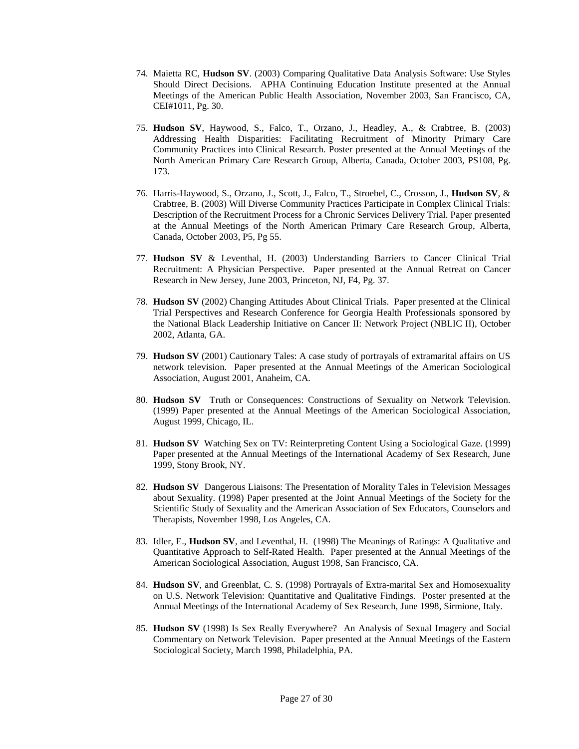- 74. Maietta RC, **Hudson SV**. (2003) Comparing Qualitative Data Analysis Software: Use Styles Should Direct Decisions. APHA Continuing Education Institute presented at the Annual Meetings of the American Public Health Association, November 2003, San Francisco, CA, CEI#1011, Pg. 30.
- 75. **Hudson SV**, Haywood, S., Falco, T., Orzano, J., Headley, A., & Crabtree, B. (2003) Addressing Health Disparities: Facilitating Recruitment of Minority Primary Care Community Practices into Clinical Research. Poster presented at the Annual Meetings of the North American Primary Care Research Group, Alberta, Canada, October 2003, PS108, Pg. 173.
- 76. Harris-Haywood, S., Orzano, J., Scott, J., Falco, T., Stroebel, C., Crosson, J., **Hudson SV**, & Crabtree, B. (2003) Will Diverse Community Practices Participate in Complex Clinical Trials: Description of the Recruitment Process for a Chronic Services Delivery Trial. Paper presented at the Annual Meetings of the North American Primary Care Research Group, Alberta, Canada, October 2003, P5, Pg 55.
- 77. **Hudson SV** & Leventhal, H. (2003) Understanding Barriers to Cancer Clinical Trial Recruitment: A Physician Perspective. Paper presented at the Annual Retreat on Cancer Research in New Jersey, June 2003, Princeton, NJ, F4, Pg. 37.
- 78. **Hudson SV** (2002) Changing Attitudes About Clinical Trials. Paper presented at the Clinical Trial Perspectives and Research Conference for Georgia Health Professionals sponsored by the National Black Leadership Initiative on Cancer II: Network Project (NBLIC II), October 2002, Atlanta, GA.
- 79. **Hudson SV** (2001) Cautionary Tales: A case study of portrayals of extramarital affairs on US network television. Paper presented at the Annual Meetings of the American Sociological Association, August 2001, Anaheim, CA.
- 80. **Hudson SV** Truth or Consequences: Constructions of Sexuality on Network Television. (1999) Paper presented at the Annual Meetings of the American Sociological Association, August 1999, Chicago, IL.
- 81. **Hudson SV** Watching Sex on TV: Reinterpreting Content Using a Sociological Gaze. (1999) Paper presented at the Annual Meetings of the International Academy of Sex Research, June 1999, Stony Brook, NY.
- 82. **Hudson SV** Dangerous Liaisons: The Presentation of Morality Tales in Television Messages about Sexuality. (1998) Paper presented at the Joint Annual Meetings of the Society for the Scientific Study of Sexuality and the American Association of Sex Educators, Counselors and Therapists, November 1998, Los Angeles, CA.
- 83. Idler, E., **Hudson SV**, and Leventhal, H. (1998) The Meanings of Ratings: A Qualitative and Quantitative Approach to Self-Rated Health. Paper presented at the Annual Meetings of the American Sociological Association, August 1998, San Francisco, CA.
- 84. **Hudson SV**, and Greenblat, C. S. (1998) Portrayals of Extra-marital Sex and Homosexuality on U.S. Network Television: Quantitative and Qualitative Findings. Poster presented at the Annual Meetings of the International Academy of Sex Research, June 1998, Sirmione, Italy.
- 85. **Hudson SV** (1998) Is Sex Really Everywhere? An Analysis of Sexual Imagery and Social Commentary on Network Television. Paper presented at the Annual Meetings of the Eastern Sociological Society, March 1998, Philadelphia, PA.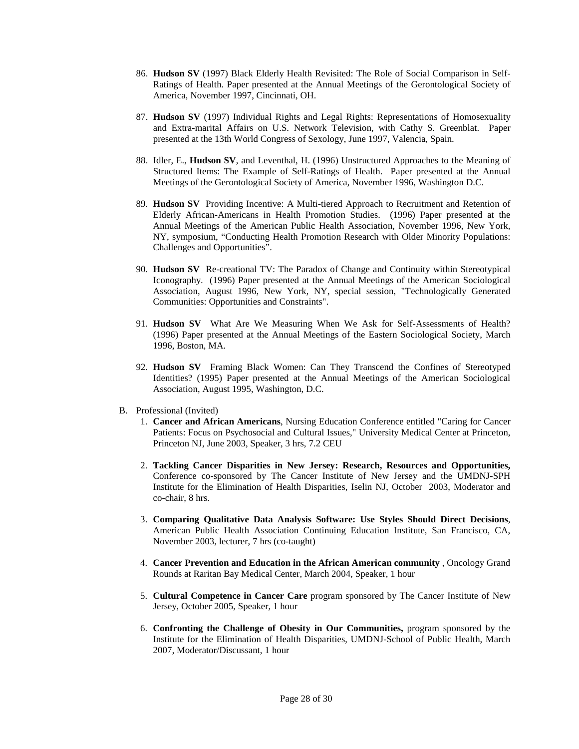- 86. **Hudson SV** (1997) Black Elderly Health Revisited: The Role of Social Comparison in Self-Ratings of Health. Paper presented at the Annual Meetings of the Gerontological Society of America, November 1997, Cincinnati, OH.
- 87. **Hudson SV** (1997) Individual Rights and Legal Rights: Representations of Homosexuality and Extra-marital Affairs on U.S. Network Television, with Cathy S. Greenblat. Paper presented at the 13th World Congress of Sexology, June 1997, Valencia, Spain.
- 88. Idler, E., **Hudson SV**, and Leventhal, H. (1996) Unstructured Approaches to the Meaning of Structured Items: The Example of Self-Ratings of Health. Paper presented at the Annual Meetings of the Gerontological Society of America, November 1996, Washington D.C.
- 89. **Hudson SV** Providing Incentive: A Multi-tiered Approach to Recruitment and Retention of Elderly African-Americans in Health Promotion Studies. (1996) Paper presented at the Annual Meetings of the American Public Health Association, November 1996, New York, NY, symposium, "Conducting Health Promotion Research with Older Minority Populations: Challenges and Opportunities".
- 90. **Hudson SV** Re-creational TV: The Paradox of Change and Continuity within Stereotypical Iconography. (1996) Paper presented at the Annual Meetings of the American Sociological Association, August 1996, New York, NY, special session, "Technologically Generated Communities: Opportunities and Constraints".
- 91. **Hudson SV** What Are We Measuring When We Ask for Self-Assessments of Health? (1996) Paper presented at the Annual Meetings of the Eastern Sociological Society, March 1996, Boston, MA.
- 92. **Hudson SV** Framing Black Women: Can They Transcend the Confines of Stereotyped Identities? (1995) Paper presented at the Annual Meetings of the American Sociological Association, August 1995, Washington, D.C.
- B. Professional (Invited)
	- 1. **Cancer and African Americans**, Nursing Education Conference entitled "Caring for Cancer Patients: Focus on Psychosocial and Cultural Issues," University Medical Center at Princeton, Princeton NJ, June 2003, Speaker, 3 hrs, 7.2 CEU
	- 2. **Tackling Cancer Disparities in New Jersey: Research, Resources and Opportunities,**  Conference co-sponsored by The Cancer Institute of New Jersey and the UMDNJ-SPH Institute for the Elimination of Health Disparities, Iselin NJ, October 2003, Moderator and co-chair, 8 hrs.
	- 3. **Comparing Qualitative Data Analysis Software: Use Styles Should Direct Decisions**, American Public Health Association Continuing Education Institute, San Francisco, CA, November 2003, lecturer, 7 hrs (co-taught)
	- 4. **Cancer Prevention and Education in the African American community** , Oncology Grand Rounds at Raritan Bay Medical Center, March 2004, Speaker, 1 hour
	- 5. **Cultural Competence in Cancer Care** program sponsored by The Cancer Institute of New Jersey, October 2005, Speaker, 1 hour
	- 6. **Confronting the Challenge of Obesity in Our Communities,** program sponsored by the Institute for the Elimination of Health Disparities, UMDNJ-School of Public Health, March 2007, Moderator/Discussant, 1 hour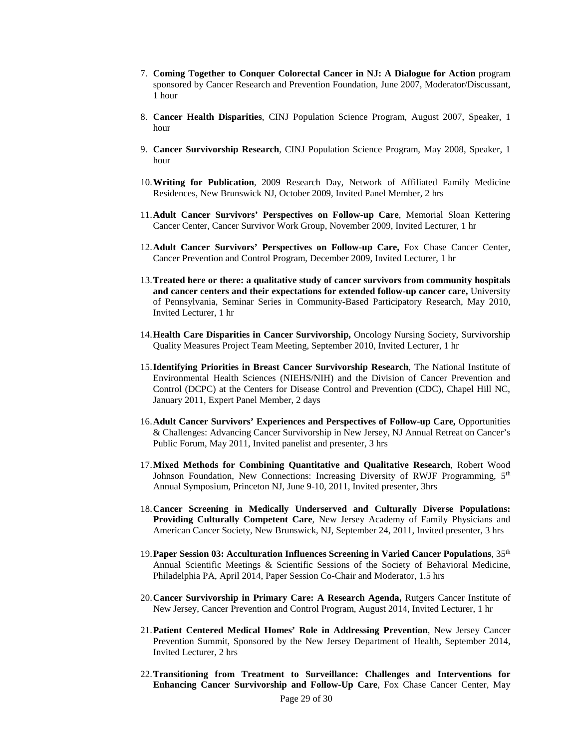- 7. **Coming Together to Conquer Colorectal Cancer in NJ: A Dialogue for Action** program sponsored by Cancer Research and Prevention Foundation, June 2007, Moderator/Discussant, 1 hour
- 8. **Cancer Health Disparities**, CINJ Population Science Program, August 2007, Speaker, 1 hour
- 9. **Cancer Survivorship Research**, CINJ Population Science Program, May 2008, Speaker, 1 hour
- 10.**Writing for Publication**, 2009 Research Day, Network of Affiliated Family Medicine Residences, New Brunswick NJ, October 2009, Invited Panel Member, 2 hrs
- 11.**Adult Cancer Survivors' Perspectives on Follow-up Care**, Memorial Sloan Kettering Cancer Center, Cancer Survivor Work Group, November 2009, Invited Lecturer, 1 hr
- 12.**Adult Cancer Survivors' Perspectives on Follow-up Care,** Fox Chase Cancer Center, Cancer Prevention and Control Program, December 2009, Invited Lecturer, 1 hr
- 13.**Treated here or there: a qualitative study of cancer survivors from community hospitals and cancer centers and their expectations for extended follow-up cancer care,** University of Pennsylvania, Seminar Series in Community-Based Participatory Research, May 2010, Invited Lecturer, 1 hr
- 14.**Health Care Disparities in Cancer Survivorship,** Oncology Nursing Society, Survivorship Quality Measures Project Team Meeting, September 2010, Invited Lecturer, 1 hr
- 15.**Identifying Priorities in Breast Cancer Survivorship Research**, The National Institute of Environmental Health Sciences (NIEHS/NIH) and the Division of Cancer Prevention and Control (DCPC) at the Centers for Disease Control and Prevention (CDC), Chapel Hill NC, January 2011, Expert Panel Member, 2 days
- 16.**Adult Cancer Survivors' Experiences and Perspectives of Follow-up Care,** Opportunities & Challenges: Advancing Cancer Survivorship in New Jersey, NJ Annual Retreat on Cancer's Public Forum, May 2011, Invited panelist and presenter, 3 hrs
- 17.**Mixed Methods for Combining Quantitative and Qualitative Research**, Robert Wood Johnson Foundation, New Connections: Increasing Diversity of RWJF Programming,  $5<sup>th</sup>$ Annual Symposium, Princeton NJ, June 9-10, 2011, Invited presenter, 3hrs
- 18.**Cancer Screening in Medically Underserved and Culturally Diverse Populations: Providing Culturally Competent Care**, New Jersey Academy of Family Physicians and American Cancer Society, New Brunswick, NJ, September 24, 2011, Invited presenter, 3 hrs
- 19.**Paper Session 03: Acculturation Influences Screening in Varied Cancer Populations**, 35th Annual Scientific Meetings & Scientific Sessions of the Society of Behavioral Medicine, Philadelphia PA, April 2014, Paper Session Co-Chair and Moderator, 1.5 hrs
- 20.**Cancer Survivorship in Primary Care: A Research Agenda,** Rutgers Cancer Institute of New Jersey, Cancer Prevention and Control Program, August 2014, Invited Lecturer, 1 hr
- 21.**Patient Centered Medical Homes' Role in Addressing Prevention**, New Jersey Cancer Prevention Summit, Sponsored by the New Jersey Department of Health, September 2014, Invited Lecturer, 2 hrs
- 22.**Transitioning from Treatment to Surveillance: Challenges and Interventions for Enhancing Cancer Survivorship and Follow-Up Care**, Fox Chase Cancer Center, May